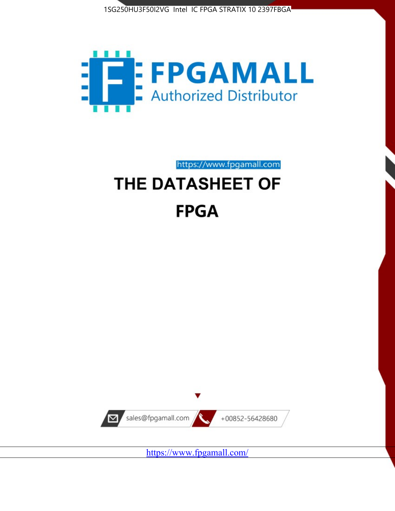



https://www.fpgamall.com

# THE DATASHEET OF **FPGA**



<https://www.fpgamall.com/>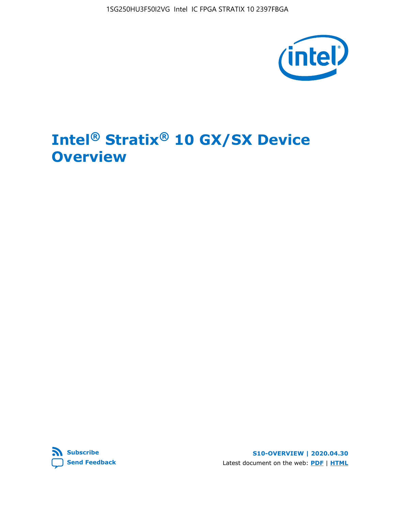1SG250HU3F50I2VG Intel IC FPGA STRATIX 10 2397FBGA



# **Intel® Stratix® 10 GX/SX Device Overview**



**S10-OVERVIEW | 2020.04.30** Latest document on the web: **[PDF](https://www.intel.com/content/dam/www/programmable/us/en/pdfs/literature/hb/stratix-10/s10-overview.pdf)** | **[HTML](https://www.intel.com/content/www/us/en/programmable/documentation/joc1442261161666.html)**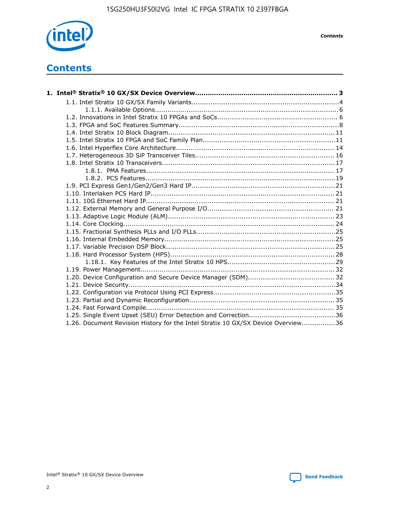

*Contents*

# **Contents**

| 1.26. Document Revision History for the Intel Stratix 10 GX/SX Device Overview36 |  |
|----------------------------------------------------------------------------------|--|

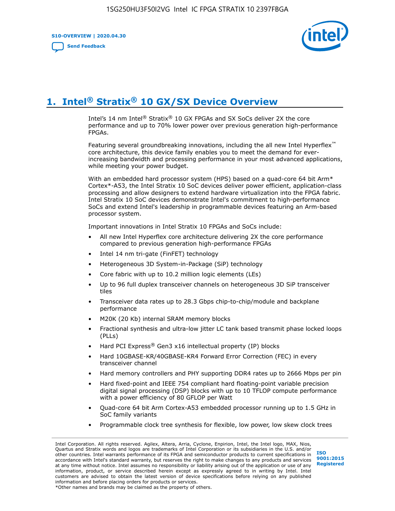**S10-OVERVIEW | 2020.04.30**

**[Send Feedback](mailto:FPGAtechdocfeedback@intel.com?subject=Feedback%20on%20Intel%20Stratix%2010%20GX/SX%20Device%20Overview%20(S10-OVERVIEW%202020.04.30)&body=We%20appreciate%20your%20feedback.%20In%20your%20comments,%20also%20specify%20the%20page%20number%20or%20paragraph.%20Thank%20you.)**



# **1. Intel® Stratix® 10 GX/SX Device Overview**

Intel's 14 nm Intel® Stratix® 10 GX FPGAs and SX SoCs deliver 2X the core performance and up to 70% lower power over previous generation high-performance FPGAs.

Featuring several groundbreaking innovations, including the all new Intel Hyperflex™ core architecture, this device family enables you to meet the demand for everincreasing bandwidth and processing performance in your most advanced applications, while meeting your power budget.

With an embedded hard processor system (HPS) based on a quad-core 64 bit Arm\* Cortex\*-A53, the Intel Stratix 10 SoC devices deliver power efficient, application-class processing and allow designers to extend hardware virtualization into the FPGA fabric. Intel Stratix 10 SoC devices demonstrate Intel's commitment to high-performance SoCs and extend Intel's leadership in programmable devices featuring an Arm-based processor system.

Important innovations in Intel Stratix 10 FPGAs and SoCs include:

- All new Intel Hyperflex core architecture delivering 2X the core performance compared to previous generation high-performance FPGAs
- Intel 14 nm tri-gate (FinFET) technology
- Heterogeneous 3D System-in-Package (SiP) technology
- Core fabric with up to 10.2 million logic elements (LEs)
- Up to 96 full duplex transceiver channels on heterogeneous 3D SiP transceiver tiles
- Transceiver data rates up to 28.3 Gbps chip-to-chip/module and backplane performance
- M20K (20 Kb) internal SRAM memory blocks
- Fractional synthesis and ultra-low jitter LC tank based transmit phase locked loops (PLLs)
- Hard PCI Express<sup>®</sup> Gen3 x16 intellectual property (IP) blocks
- Hard 10GBASE-KR/40GBASE-KR4 Forward Error Correction (FEC) in every transceiver channel
- Hard memory controllers and PHY supporting DDR4 rates up to 2666 Mbps per pin
- Hard fixed-point and IEEE 754 compliant hard floating-point variable precision digital signal processing (DSP) blocks with up to 10 TFLOP compute performance with a power efficiency of 80 GFLOP per Watt
- Quad-core 64 bit Arm Cortex-A53 embedded processor running up to 1.5 GHz in SoC family variants
- Programmable clock tree synthesis for flexible, low power, low skew clock trees

Intel Corporation. All rights reserved. Agilex, Altera, Arria, Cyclone, Enpirion, Intel, the Intel logo, MAX, Nios, Quartus and Stratix words and logos are trademarks of Intel Corporation or its subsidiaries in the U.S. and/or other countries. Intel warrants performance of its FPGA and semiconductor products to current specifications in accordance with Intel's standard warranty, but reserves the right to make changes to any products and services at any time without notice. Intel assumes no responsibility or liability arising out of the application or use of any information, product, or service described herein except as expressly agreed to in writing by Intel. Intel customers are advised to obtain the latest version of device specifications before relying on any published information and before placing orders for products or services. \*Other names and brands may be claimed as the property of others.

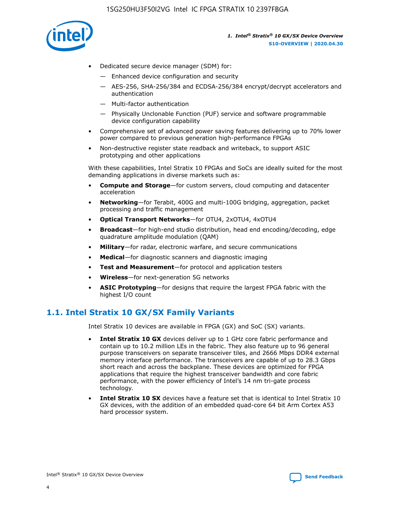

- Dedicated secure device manager (SDM) for:
	- Enhanced device configuration and security
	- AES-256, SHA-256/384 and ECDSA-256/384 encrypt/decrypt accelerators and authentication
	- Multi-factor authentication
	- Physically Unclonable Function (PUF) service and software programmable device configuration capability
- Comprehensive set of advanced power saving features delivering up to 70% lower power compared to previous generation high-performance FPGAs
- Non-destructive register state readback and writeback, to support ASIC prototyping and other applications

With these capabilities, Intel Stratix 10 FPGAs and SoCs are ideally suited for the most demanding applications in diverse markets such as:

- **Compute and Storage**—for custom servers, cloud computing and datacenter acceleration
- **Networking**—for Terabit, 400G and multi-100G bridging, aggregation, packet processing and traffic management
- **Optical Transport Networks**—for OTU4, 2xOTU4, 4xOTU4
- **Broadcast**—for high-end studio distribution, head end encoding/decoding, edge quadrature amplitude modulation (QAM)
- **Military**—for radar, electronic warfare, and secure communications
- **Medical**—for diagnostic scanners and diagnostic imaging
- **Test and Measurement**—for protocol and application testers
- **Wireless**—for next-generation 5G networks
- **ASIC Prototyping**—for designs that require the largest FPGA fabric with the highest I/O count

## **1.1. Intel Stratix 10 GX/SX Family Variants**

Intel Stratix 10 devices are available in FPGA (GX) and SoC (SX) variants.

- **Intel Stratix 10 GX** devices deliver up to 1 GHz core fabric performance and contain up to 10.2 million LEs in the fabric. They also feature up to 96 general purpose transceivers on separate transceiver tiles, and 2666 Mbps DDR4 external memory interface performance. The transceivers are capable of up to 28.3 Gbps short reach and across the backplane. These devices are optimized for FPGA applications that require the highest transceiver bandwidth and core fabric performance, with the power efficiency of Intel's 14 nm tri-gate process technology.
- **Intel Stratix 10 SX** devices have a feature set that is identical to Intel Stratix 10 GX devices, with the addition of an embedded quad-core 64 bit Arm Cortex A53 hard processor system.

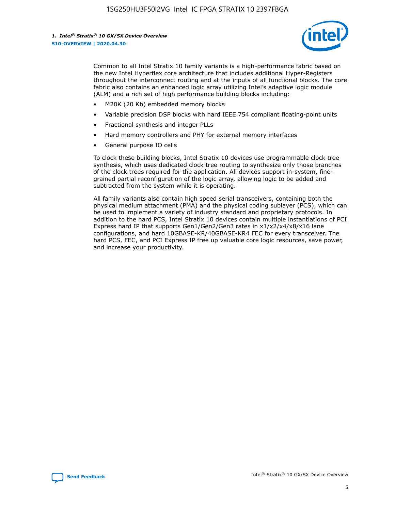

Common to all Intel Stratix 10 family variants is a high-performance fabric based on the new Intel Hyperflex core architecture that includes additional Hyper-Registers throughout the interconnect routing and at the inputs of all functional blocks. The core fabric also contains an enhanced logic array utilizing Intel's adaptive logic module (ALM) and a rich set of high performance building blocks including:

- M20K (20 Kb) embedded memory blocks
- Variable precision DSP blocks with hard IEEE 754 compliant floating-point units
- Fractional synthesis and integer PLLs
- Hard memory controllers and PHY for external memory interfaces
- General purpose IO cells

To clock these building blocks, Intel Stratix 10 devices use programmable clock tree synthesis, which uses dedicated clock tree routing to synthesize only those branches of the clock trees required for the application. All devices support in-system, finegrained partial reconfiguration of the logic array, allowing logic to be added and subtracted from the system while it is operating.

All family variants also contain high speed serial transceivers, containing both the physical medium attachment (PMA) and the physical coding sublayer (PCS), which can be used to implement a variety of industry standard and proprietary protocols. In addition to the hard PCS, Intel Stratix 10 devices contain multiple instantiations of PCI Express hard IP that supports Gen1/Gen2/Gen3 rates in x1/x2/x4/x8/x16 lane configurations, and hard 10GBASE-KR/40GBASE-KR4 FEC for every transceiver. The hard PCS, FEC, and PCI Express IP free up valuable core logic resources, save power, and increase your productivity.

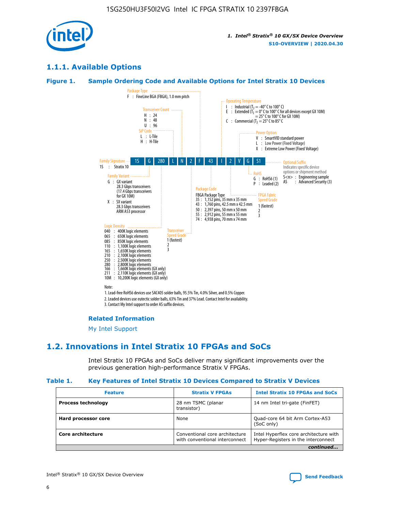

## **1.1.1. Available Options**

#### **Figure 1. Sample Ordering Code and Available Options for Intel Stratix 10 Devices**



## **Related Information**

[My Intel Support](https://www.intel.com/content/www/us/en/programmable/my-intel/mal-home.html)

## **1.2. Innovations in Intel Stratix 10 FPGAs and SoCs**

Intel Stratix 10 FPGAs and SoCs deliver many significant improvements over the previous generation high-performance Stratix V FPGAs.

#### **Table 1. Key Features of Intel Stratix 10 Devices Compared to Stratix V Devices**

| <b>Feature</b>            | <b>Stratix V FPGAs</b>                                           | <b>Intel Stratix 10 FPGAs and SoCs</b>                                        |  |
|---------------------------|------------------------------------------------------------------|-------------------------------------------------------------------------------|--|
| <b>Process technology</b> | 28 nm TSMC (planar<br>transistor)                                | 14 nm Intel tri-gate (FinFET)                                                 |  |
| Hard processor core       | None                                                             | Quad-core 64 bit Arm Cortex-A53<br>(SoC only)                                 |  |
| Core architecture         | Conventional core architecture<br>with conventional interconnect | Intel Hyperflex core architecture with<br>Hyper-Registers in the interconnect |  |
|                           |                                                                  | continued                                                                     |  |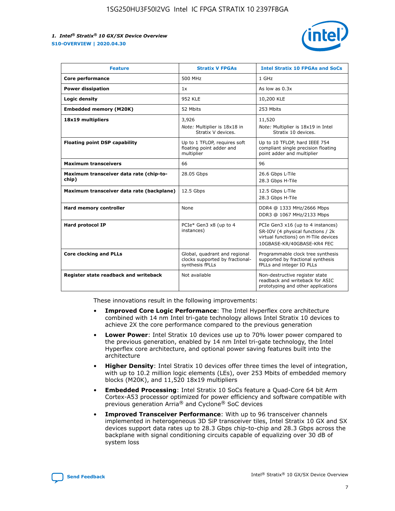

| <b>Feature</b>                                   | <b>Stratix V FPGAs</b>                                                              | <b>Intel Stratix 10 FPGAs and SoCs</b>                                                                                                       |
|--------------------------------------------------|-------------------------------------------------------------------------------------|----------------------------------------------------------------------------------------------------------------------------------------------|
| Core performance                                 | 500 MHz                                                                             | 1 GHz                                                                                                                                        |
| <b>Power dissipation</b>                         | 1x                                                                                  | As low as $0.3x$                                                                                                                             |
| Logic density                                    | <b>952 KLE</b>                                                                      | 10,200 KLE                                                                                                                                   |
| <b>Embedded memory (M20K)</b>                    | 52 Mbits                                                                            | 253 Mbits                                                                                                                                    |
| 18x19 multipliers                                | 3,926                                                                               | 11,520                                                                                                                                       |
|                                                  | Note: Multiplier is 18x18 in<br>Stratix V devices.                                  | Note: Multiplier is 18x19 in Intel<br>Stratix 10 devices.                                                                                    |
| <b>Floating point DSP capability</b>             | Up to 1 TFLOP, requires soft<br>floating point adder and<br>multiplier              | Up to 10 TFLOP, hard IEEE 754<br>compliant single precision floating<br>point adder and multiplier                                           |
| <b>Maximum transceivers</b>                      | 66                                                                                  | 96                                                                                                                                           |
| Maximum transceiver data rate (chip-to-<br>chip) | 28.05 Gbps                                                                          | 26.6 Gbps L-Tile<br>28.3 Gbps H-Tile                                                                                                         |
| Maximum transceiver data rate (backplane)        | 12.5 Gbps                                                                           | 12.5 Gbps L-Tile<br>28.3 Gbps H-Tile                                                                                                         |
| <b>Hard memory controller</b>                    | None                                                                                | DDR4 @ 1333 MHz/2666 Mbps<br>DDR3 @ 1067 MHz/2133 Mbps                                                                                       |
| <b>Hard protocol IP</b>                          | PCIe* Gen3 x8 (up to 4<br>instances)                                                | PCIe Gen3 x16 (up to 4 instances)<br>SR-IOV (4 physical functions / 2k<br>virtual functions) on H-Tile devices<br>10GBASE-KR/40GBASE-KR4 FEC |
| <b>Core clocking and PLLs</b>                    | Global, quadrant and regional<br>clocks supported by fractional-<br>synthesis fPLLs | Programmable clock tree synthesis<br>supported by fractional synthesis<br>fPLLs and integer IO PLLs                                          |
| Register state readback and writeback            | Not available                                                                       | Non-destructive register state<br>readback and writeback for ASIC<br>prototyping and other applications                                      |

These innovations result in the following improvements:

- **Improved Core Logic Performance**: The Intel Hyperflex core architecture combined with 14 nm Intel tri-gate technology allows Intel Stratix 10 devices to achieve 2X the core performance compared to the previous generation
- **Lower Power**: Intel Stratix 10 devices use up to 70% lower power compared to the previous generation, enabled by 14 nm Intel tri-gate technology, the Intel Hyperflex core architecture, and optional power saving features built into the architecture
- **Higher Density**: Intel Stratix 10 devices offer three times the level of integration, with up to 10.2 million logic elements (LEs), over 253 Mbits of embedded memory blocks (M20K), and 11,520 18x19 multipliers
- **Embedded Processing**: Intel Stratix 10 SoCs feature a Quad-Core 64 bit Arm Cortex-A53 processor optimized for power efficiency and software compatible with previous generation Arria® and Cyclone® SoC devices
- **Improved Transceiver Performance**: With up to 96 transceiver channels implemented in heterogeneous 3D SiP transceiver tiles, Intel Stratix 10 GX and SX devices support data rates up to 28.3 Gbps chip-to-chip and 28.3 Gbps across the backplane with signal conditioning circuits capable of equalizing over 30 dB of system loss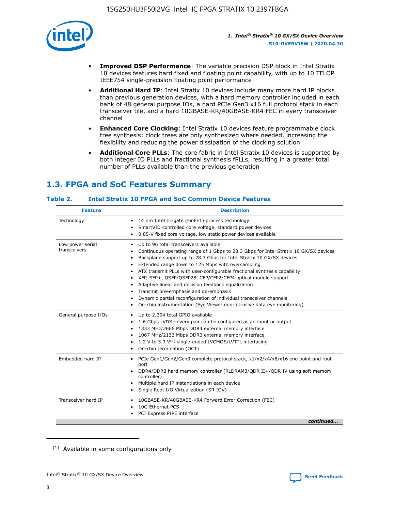

- **Improved DSP Performance**: The variable precision DSP block in Intel Stratix 10 devices features hard fixed and floating point capability, with up to 10 TFLOP IEEE754 single-precision floating point performance
- **Additional Hard IP**: Intel Stratix 10 devices include many more hard IP blocks than previous generation devices, with a hard memory controller included in each bank of 48 general purpose IOs, a hard PCIe Gen3 x16 full protocol stack in each transceiver tile, and a hard 10GBASE-KR/40GBASE-KR4 FEC in every transceiver channel
- **Enhanced Core Clocking**: Intel Stratix 10 devices feature programmable clock tree synthesis; clock trees are only synthesized where needed, increasing the flexibility and reducing the power dissipation of the clocking solution
- **Additional Core PLLs**: The core fabric in Intel Stratix 10 devices is supported by both integer IO PLLs and fractional synthesis fPLLs, resulting in a greater total number of PLLs available than the previous generation

## **1.3. FPGA and SoC Features Summary**

## **Table 2. Intel Stratix 10 FPGA and SoC Common Device Features**

| <b>Feature</b>                   | <b>Description</b>                                                                                                                                                                                                                                                                                                                                                                                                                                                                                                                                                                                                                                                                                  |
|----------------------------------|-----------------------------------------------------------------------------------------------------------------------------------------------------------------------------------------------------------------------------------------------------------------------------------------------------------------------------------------------------------------------------------------------------------------------------------------------------------------------------------------------------------------------------------------------------------------------------------------------------------------------------------------------------------------------------------------------------|
| Technology                       | 14 nm Intel tri-gate (FinFET) process technology<br>$\bullet$<br>SmartVID controlled core voltage, standard power devices<br>0.85-V fixed core voltage, low static power devices available<br>٠                                                                                                                                                                                                                                                                                                                                                                                                                                                                                                     |
| Low power serial<br>transceivers | Up to 96 total transceivers available<br>٠<br>Continuous operating range of 1 Gbps to 28.3 Gbps for Intel Stratix 10 GX/SX devices<br>Backplane support up to 28.3 Gbps for Intel Stratix 10 GX/SX devices<br>$\bullet$<br>Extended range down to 125 Mbps with oversampling<br>ATX transmit PLLs with user-configurable fractional synthesis capability<br>$\bullet$<br>XFP, SFP+, QSFP/QSFP28, CFP/CFP2/CFP4 optical module support<br>$\bullet$<br>• Adaptive linear and decision feedback equalization<br>Transmit pre-emphasis and de-emphasis<br>Dynamic partial reconfiguration of individual transceiver channels<br>On-chip instrumentation (Eye Viewer non-intrusive data eye monitoring) |
| General purpose I/Os             | Up to 2,304 total GPIO available<br>$\bullet$<br>1.6 Gbps LVDS-every pair can be configured as an input or output<br>1333 MHz/2666 Mbps DDR4 external memory interface<br>1067 MHz/2133 Mbps DDR3 external memory interface<br>• 1.2 V to 3.3 $V^{(1)}$ single-ended LVCMOS/LVTTL interfacing<br>• On-chip termination (OCT)                                                                                                                                                                                                                                                                                                                                                                        |
| Embedded hard IP                 | PCIe Gen1/Gen2/Gen3 complete protocol stack, x1/x2/x4/x8/x16 end point and root<br>$\bullet$<br>port<br>DDR4/DDR3 hard memory controller (RLDRAM3/QDR II+/QDR IV using soft memory<br>controller)<br>Multiple hard IP instantiations in each device<br>• Single Root I/O Virtualization (SR-IOV)                                                                                                                                                                                                                                                                                                                                                                                                    |
| Transceiver hard IP              | 10GBASE-KR/40GBASE-KR4 Forward Error Correction (FEC)<br>$\bullet$<br>10G Ethernet PCS<br>٠<br>PCI Express PIPE interface<br>continued                                                                                                                                                                                                                                                                                                                                                                                                                                                                                                                                                              |
|                                  |                                                                                                                                                                                                                                                                                                                                                                                                                                                                                                                                                                                                                                                                                                     |

<sup>(1)</sup> Available in some configurations only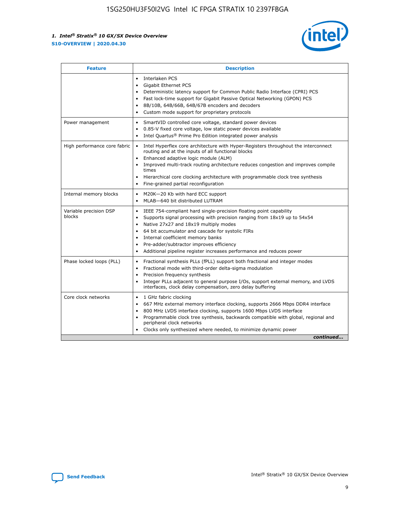

| <b>Feature</b>                   | <b>Description</b>                                                                                                                                                                                                                                                                                                                                                                                                                            |
|----------------------------------|-----------------------------------------------------------------------------------------------------------------------------------------------------------------------------------------------------------------------------------------------------------------------------------------------------------------------------------------------------------------------------------------------------------------------------------------------|
|                                  | Interlaken PCS<br>$\bullet$<br>Gigabit Ethernet PCS<br>$\bullet$<br>Deterministic latency support for Common Public Radio Interface (CPRI) PCS<br>$\bullet$<br>Fast lock-time support for Gigabit Passive Optical Networking (GPON) PCS<br>$\bullet$<br>8B/10B, 64B/66B, 64B/67B encoders and decoders<br>Custom mode support for proprietary protocols                                                                                       |
| Power management                 | SmartVID controlled core voltage, standard power devices<br>$\bullet$<br>0.85-V fixed core voltage, low static power devices available<br>$\bullet$<br>Intel Quartus <sup>®</sup> Prime Pro Edition integrated power analysis                                                                                                                                                                                                                 |
| High performance core fabric     | Intel Hyperflex core architecture with Hyper-Registers throughout the interconnect<br>routing and at the inputs of all functional blocks<br>Enhanced adaptive logic module (ALM)<br>Improved multi-track routing architecture reduces congestion and improves compile<br>times<br>Hierarchical core clocking architecture with programmable clock tree synthesis<br>Fine-grained partial reconfiguration                                      |
| Internal memory blocks           | M20K-20 Kb with hard ECC support<br>MLAB-640 bit distributed LUTRAM                                                                                                                                                                                                                                                                                                                                                                           |
| Variable precision DSP<br>blocks | IEEE 754-compliant hard single-precision floating point capability<br>$\bullet$<br>Supports signal processing with precision ranging from 18x19 up to 54x54<br>$\bullet$<br>Native 27x27 and 18x19 multiply modes<br>٠<br>64 bit accumulator and cascade for systolic FIRs<br>Internal coefficient memory banks<br>Pre-adder/subtractor improves efficiency<br>٠<br>Additional pipeline register increases performance and reduces power<br>٠ |
| Phase locked loops (PLL)         | Fractional synthesis PLLs (fPLL) support both fractional and integer modes<br>$\bullet$<br>Fractional mode with third-order delta-sigma modulation<br>Precision frequency synthesis<br>٠<br>Integer PLLs adjacent to general purpose I/Os, support external memory, and LVDS<br>٠<br>interfaces, clock delay compensation, zero delay buffering                                                                                               |
| Core clock networks              | 1 GHz fabric clocking<br>٠<br>667 MHz external memory interface clocking, supports 2666 Mbps DDR4 interface<br>800 MHz LVDS interface clocking, supports 1600 Mbps LVDS interface<br>$\bullet$<br>Programmable clock tree synthesis, backwards compatible with global, regional and<br>$\bullet$<br>peripheral clock networks<br>Clocks only synthesized where needed, to minimize dynamic power<br>continued                                 |

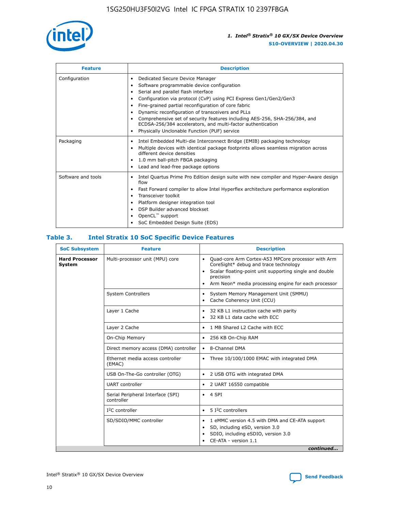

| <b>Feature</b>     | <b>Description</b>                                                                                                                                                                                                                                                                                                                                                                                                                                                                                                    |
|--------------------|-----------------------------------------------------------------------------------------------------------------------------------------------------------------------------------------------------------------------------------------------------------------------------------------------------------------------------------------------------------------------------------------------------------------------------------------------------------------------------------------------------------------------|
| Configuration      | Dedicated Secure Device Manager<br>٠<br>Software programmable device configuration<br>٠<br>Serial and parallel flash interface<br>٠<br>Configuration via protocol (CvP) using PCI Express Gen1/Gen2/Gen3<br>Fine-grained partial reconfiguration of core fabric<br>Dynamic reconfiguration of transceivers and PLLs<br>٠<br>Comprehensive set of security features including AES-256, SHA-256/384, and<br>ECDSA-256/384 accelerators, and multi-factor authentication<br>Physically Unclonable Function (PUF) service |
| Packaging          | Intel Embedded Multi-die Interconnect Bridge (EMIB) packaging technology<br>٠<br>Multiple devices with identical package footprints allows seamless migration across<br>٠<br>different device densities<br>1.0 mm ball-pitch FBGA packaging<br>٠<br>Lead and lead-free package options                                                                                                                                                                                                                                |
| Software and tools | Intel Quartus Prime Pro Edition design suite with new compiler and Hyper-Aware design<br>flow<br>Fast Forward compiler to allow Intel Hyperflex architecture performance exploration<br>٠<br>Transceiver toolkit<br>Platform designer integration tool<br>DSP Builder advanced blockset<br>OpenCL <sup>™</sup> support<br>SoC Embedded Design Suite (EDS)                                                                                                                                                             |

## **Table 3. Intel Stratix 10 SoC Specific Device Features**

| <b>Hard Processor</b><br>Multi-processor unit (MPU) core<br>Quad-core Arm Cortex-A53 MPCore processor with Arm<br>$\bullet$<br>CoreSight* debug and trace technology<br>System<br>Scalar floating-point unit supporting single and double<br>$\bullet$<br>precision<br>Arm Neon* media processing engine for each processor<br>$\bullet$<br><b>System Controllers</b><br>System Memory Management Unit (SMMU)<br>$\bullet$<br>Cache Coherency Unit (CCU)<br>$\bullet$<br>Layer 1 Cache<br>32 KB L1 instruction cache with parity<br>$\bullet$<br>32 KB L1 data cache with ECC<br>$\bullet$<br>Layer 2 Cache<br>1 MB Shared L2 Cache with ECC<br>$\bullet$<br>On-Chip Memory<br>256 KB On-Chip RAM<br>٠<br>Direct memory access (DMA) controller<br>8-Channel DMA<br>$\bullet$<br>Ethernet media access controller<br>Three 10/100/1000 EMAC with integrated DMA<br>$\bullet$<br>(EMAC)<br>USB On-The-Go controller (OTG)<br>2 USB OTG with integrated DMA<br>$\bullet$<br><b>UART</b> controller<br>2 UART 16550 compatible<br>$\bullet$<br>Serial Peripheral Interface (SPI)<br>4 SPI<br>$\bullet$<br>controller<br>$I2C$ controller<br>5 I <sup>2</sup> C controllers<br>$\bullet$<br>SD/SDIO/MMC controller<br>1 eMMC version 4.5 with DMA and CE-ATA support<br>$\bullet$<br>SD, including eSD, version 3.0<br>$\bullet$<br>SDIO, including eSDIO, version 3.0<br>$\bullet$<br>CE-ATA - version 1.1 | <b>SoC Subsystem</b> | <b>Feature</b> | <b>Description</b> |  |  |  |
|---------------------------------------------------------------------------------------------------------------------------------------------------------------------------------------------------------------------------------------------------------------------------------------------------------------------------------------------------------------------------------------------------------------------------------------------------------------------------------------------------------------------------------------------------------------------------------------------------------------------------------------------------------------------------------------------------------------------------------------------------------------------------------------------------------------------------------------------------------------------------------------------------------------------------------------------------------------------------------------------------------------------------------------------------------------------------------------------------------------------------------------------------------------------------------------------------------------------------------------------------------------------------------------------------------------------------------------------------------------------------------------------------------|----------------------|----------------|--------------------|--|--|--|
|                                                                                                                                                                                                                                                                                                                                                                                                                                                                                                                                                                                                                                                                                                                                                                                                                                                                                                                                                                                                                                                                                                                                                                                                                                                                                                                                                                                                         |                      |                |                    |  |  |  |
|                                                                                                                                                                                                                                                                                                                                                                                                                                                                                                                                                                                                                                                                                                                                                                                                                                                                                                                                                                                                                                                                                                                                                                                                                                                                                                                                                                                                         |                      |                |                    |  |  |  |
|                                                                                                                                                                                                                                                                                                                                                                                                                                                                                                                                                                                                                                                                                                                                                                                                                                                                                                                                                                                                                                                                                                                                                                                                                                                                                                                                                                                                         |                      |                |                    |  |  |  |
|                                                                                                                                                                                                                                                                                                                                                                                                                                                                                                                                                                                                                                                                                                                                                                                                                                                                                                                                                                                                                                                                                                                                                                                                                                                                                                                                                                                                         |                      |                |                    |  |  |  |
|                                                                                                                                                                                                                                                                                                                                                                                                                                                                                                                                                                                                                                                                                                                                                                                                                                                                                                                                                                                                                                                                                                                                                                                                                                                                                                                                                                                                         |                      |                |                    |  |  |  |
|                                                                                                                                                                                                                                                                                                                                                                                                                                                                                                                                                                                                                                                                                                                                                                                                                                                                                                                                                                                                                                                                                                                                                                                                                                                                                                                                                                                                         |                      |                |                    |  |  |  |
|                                                                                                                                                                                                                                                                                                                                                                                                                                                                                                                                                                                                                                                                                                                                                                                                                                                                                                                                                                                                                                                                                                                                                                                                                                                                                                                                                                                                         |                      |                |                    |  |  |  |
|                                                                                                                                                                                                                                                                                                                                                                                                                                                                                                                                                                                                                                                                                                                                                                                                                                                                                                                                                                                                                                                                                                                                                                                                                                                                                                                                                                                                         |                      |                |                    |  |  |  |
|                                                                                                                                                                                                                                                                                                                                                                                                                                                                                                                                                                                                                                                                                                                                                                                                                                                                                                                                                                                                                                                                                                                                                                                                                                                                                                                                                                                                         |                      |                |                    |  |  |  |
|                                                                                                                                                                                                                                                                                                                                                                                                                                                                                                                                                                                                                                                                                                                                                                                                                                                                                                                                                                                                                                                                                                                                                                                                                                                                                                                                                                                                         |                      |                |                    |  |  |  |
|                                                                                                                                                                                                                                                                                                                                                                                                                                                                                                                                                                                                                                                                                                                                                                                                                                                                                                                                                                                                                                                                                                                                                                                                                                                                                                                                                                                                         |                      |                |                    |  |  |  |
| continued                                                                                                                                                                                                                                                                                                                                                                                                                                                                                                                                                                                                                                                                                                                                                                                                                                                                                                                                                                                                                                                                                                                                                                                                                                                                                                                                                                                               |                      |                |                    |  |  |  |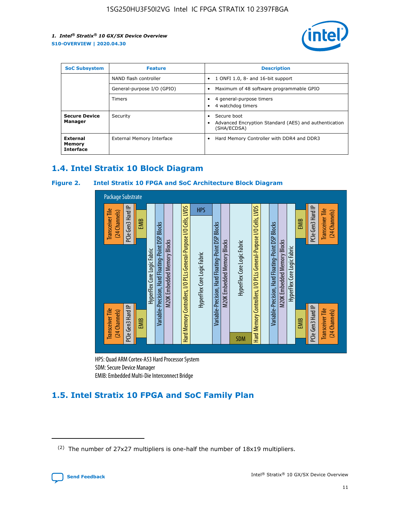

| <b>SoC Subsystem</b><br><b>Feature</b> |                            | <b>Description</b>                                                                                    |  |  |
|----------------------------------------|----------------------------|-------------------------------------------------------------------------------------------------------|--|--|
|                                        | NAND flash controller      | 1 ONFI 1.0, 8- and 16-bit support<br>$\bullet$                                                        |  |  |
|                                        | General-purpose I/O (GPIO) | Maximum of 48 software programmable GPIO<br>$\bullet$                                                 |  |  |
|                                        | <b>Timers</b>              | 4 general-purpose timers<br>٠<br>4 watchdog timers<br>٠                                               |  |  |
| <b>Secure Device</b><br>Manager        | Security                   | Secure boot<br>$\bullet$<br>Advanced Encryption Standard (AES) and authentication<br>٠<br>(SHA/ECDSA) |  |  |
| External<br>Memory<br><b>Interface</b> | External Memory Interface  | Hard Memory Controller with DDR4 and DDR3<br>$\bullet$                                                |  |  |

## **1.4. Intel Stratix 10 Block Diagram**

## **Figure 2. Intel Stratix 10 FPGA and SoC Architecture Block Diagram**



HPS: Quad ARM Cortex-A53 Hard Processor System SDM: Secure Device Manager

## **1.5. Intel Stratix 10 FPGA and SoC Family Plan**

<sup>(2)</sup> The number of 27x27 multipliers is one-half the number of 18x19 multipliers.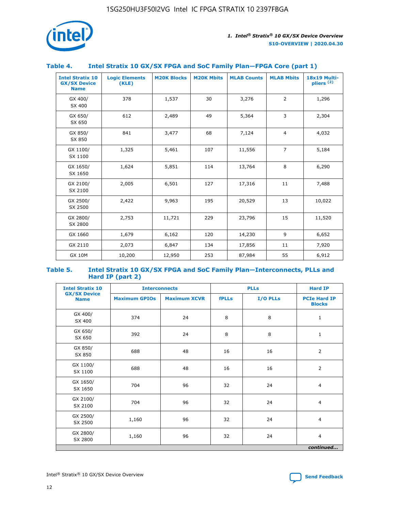

## **Table 4. Intel Stratix 10 GX/SX FPGA and SoC Family Plan—FPGA Core (part 1)**

| <b>Intel Stratix 10</b><br><b>GX/SX Device</b><br><b>Name</b> | <b>Logic Elements</b><br>(KLE) | <b>M20K Blocks</b> | <b>M20K Mbits</b> | <b>MLAB Counts</b> | <b>MLAB Mbits</b> | 18x19 Multi-<br>pliers <sup>(2)</sup> |
|---------------------------------------------------------------|--------------------------------|--------------------|-------------------|--------------------|-------------------|---------------------------------------|
| GX 400/<br>SX 400                                             | 378                            | 1,537              | 30                | 3,276              | $\overline{2}$    | 1,296                                 |
| GX 650/<br>SX 650                                             | 612                            | 2,489              | 49                | 5,364              | 3                 | 2,304                                 |
| GX 850/<br>SX 850                                             | 841                            | 3,477              | 68                | 7,124              | $\overline{4}$    | 4,032                                 |
| GX 1100/<br>SX 1100                                           | 1,325                          | 5,461              | 107               | 11,556             | $\overline{7}$    | 5,184                                 |
| GX 1650/<br>SX 1650                                           | 1,624                          | 5,851              | 114               | 13,764             | 8                 | 6,290                                 |
| GX 2100/<br>SX 2100                                           | 2,005                          | 6,501              | 127               | 17,316             | 11                | 7,488                                 |
| GX 2500/<br>SX 2500                                           | 2,422                          | 9,963              | 195               | 20,529             | 13                | 10,022                                |
| GX 2800/<br>SX 2800                                           | 2,753                          | 11,721             | 229               | 23,796             | 15                | 11,520                                |
| GX 1660                                                       | 1,679                          | 6,162              | 120               | 14,230             | 9                 | 6,652                                 |
| GX 2110                                                       | 2,073                          | 6,847              | 134               | 17,856             | 11                | 7,920                                 |
| <b>GX 10M</b>                                                 | 10,200                         | 12,950             | 253               | 87,984             | 55                | 6,912                                 |

#### **Table 5. Intel Stratix 10 GX/SX FPGA and SoC Family Plan—Interconnects, PLLs and Hard IP (part 2)**

| <b>Intel Stratix 10</b>            | <b>Interconnects</b> |                     | <b>PLLs</b>  |          | <b>Hard IP</b>                       |  |
|------------------------------------|----------------------|---------------------|--------------|----------|--------------------------------------|--|
| <b>GX/SX Device</b><br><b>Name</b> | <b>Maximum GPIOs</b> | <b>Maximum XCVR</b> | <b>fPLLs</b> | I/O PLLs | <b>PCIe Hard IP</b><br><b>Blocks</b> |  |
| GX 400/<br>SX 400                  | 374                  | 24                  | 8            | 8        | $\mathbf{1}$                         |  |
| GX 650/<br>SX 650                  | 392                  | 24                  | 8            | 8        | $\mathbf{1}$                         |  |
| GX 850/<br>SX 850                  | 688                  | 48                  | 16           | 16       | 2                                    |  |
| GX 1100/<br>SX 1100                | 688                  | 48                  | 16           | 16       | 2                                    |  |
| GX 1650/<br>SX 1650                | 704                  | 96                  | 32           | 24       | $\overline{4}$                       |  |
| GX 2100/<br>SX 2100                | 704                  | 96                  | 32           | 24       | $\overline{4}$                       |  |
| GX 2500/<br>SX 2500                | 1,160                | 96                  | 32           | 24       | $\overline{4}$                       |  |
| GX 2800/<br>SX 2800                | 1,160                | 96                  | 32           | 24       | $\overline{4}$                       |  |
| continued                          |                      |                     |              |          |                                      |  |

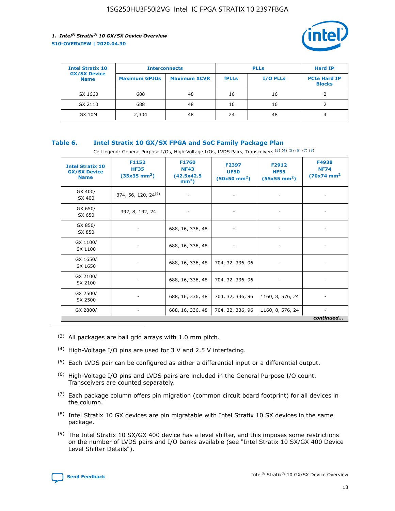

| <b>Intel Stratix 10</b>            | <b>Interconnects</b> |                     | <b>PLLs</b>  |                 | <b>Hard IP</b>                       |
|------------------------------------|----------------------|---------------------|--------------|-----------------|--------------------------------------|
| <b>GX/SX Device</b><br><b>Name</b> | <b>Maximum GPIOs</b> | <b>Maximum XCVR</b> | <b>fPLLs</b> | <b>I/O PLLs</b> | <b>PCIe Hard IP</b><br><b>Blocks</b> |
| GX 1660                            | 688                  | 48                  | 16           | 16              |                                      |
| GX 2110                            | 688                  | 48                  | 16           | 16              |                                      |
| <b>GX 10M</b>                      | 2,304                | 48                  | 24           | 48              | 4                                    |

## **Table 6. Intel Stratix 10 GX/SX FPGA and SoC Family Package Plan**

Cell legend: General Purpose I/Os, High-Voltage I/Os, LVDS Pairs, Transceivers (3) (4) (5) (6) (7) (8)

| <b>Intel Stratix 10</b><br><b>GX/SX Device</b><br><b>Name</b> | F1152<br><b>HF35</b><br>$(35x35)$ mm <sup>2</sup> ) | <b>F1760</b><br><b>NF43</b><br>(42.5x42.5<br>$mm2$ ) | F2397<br><b>UF50</b><br>$(50x50 \text{ mm}^2)$ | F2912<br><b>HF55</b><br>$(55x55 \text{ mm}^2)$ | F4938<br><b>NF74</b><br>$(70x74)$ mm <sup>2</sup> |
|---------------------------------------------------------------|-----------------------------------------------------|------------------------------------------------------|------------------------------------------------|------------------------------------------------|---------------------------------------------------|
| GX 400/<br>SX 400                                             | 374, 56, 120, 24 <sup>(9)</sup>                     | $\overline{\phantom{a}}$                             | $\overline{\phantom{a}}$                       |                                                |                                                   |
| GX 650/<br>SX 650                                             | 392, 8, 192, 24                                     | ٠                                                    | $\qquad \qquad \blacksquare$                   |                                                |                                                   |
| GX 850/<br>SX 850                                             | $\overline{\phantom{a}}$                            | 688, 16, 336, 48                                     | $\overline{\phantom{a}}$                       |                                                |                                                   |
| GX 1100/<br>SX 1100                                           | -                                                   | 688, 16, 336, 48                                     |                                                |                                                |                                                   |
| GX 1650/<br>SX 1650                                           |                                                     | 688, 16, 336, 48                                     | 704, 32, 336, 96                               | $\overline{\phantom{a}}$                       | $\overline{\phantom{0}}$                          |
| GX 2100/<br>SX 2100                                           |                                                     | 688, 16, 336, 48                                     | 704, 32, 336, 96                               | $\overline{\phantom{a}}$                       | ٠                                                 |
| GX 2500/<br>SX 2500                                           |                                                     | 688, 16, 336, 48                                     | 704, 32, 336, 96                               | 1160, 8, 576, 24                               |                                                   |
| GX 2800/                                                      | -                                                   | 688, 16, 336, 48                                     | 704, 32, 336, 96                               | 1160, 8, 576, 24                               | continued                                         |

- (3) All packages are ball grid arrays with 1.0 mm pitch.
- (4) High-Voltage I/O pins are used for 3 V and 2.5 V interfacing.
- $(5)$  Each LVDS pair can be configured as either a differential input or a differential output.
- (6) High-Voltage I/O pins and LVDS pairs are included in the General Purpose I/O count. Transceivers are counted separately.
- $(7)$  Each package column offers pin migration (common circuit board footprint) for all devices in the column.
- $(8)$  Intel Stratix 10 GX devices are pin migratable with Intel Stratix 10 SX devices in the same package.
- $(9)$  The Intel Stratix 10 SX/GX 400 device has a level shifter, and this imposes some restrictions on the number of LVDS pairs and I/O banks available (see "Intel Stratix 10 SX/GX 400 Device Level Shifter Details").

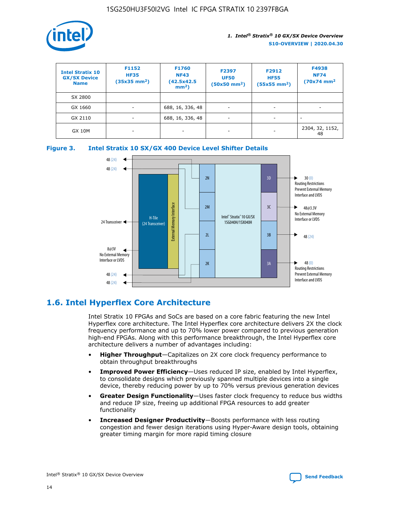

| <b>Intel Stratix 10</b><br><b>GX/SX Device</b><br><b>Name</b> | F1152<br><b>HF35</b><br>$(35x35)$ mm <sup>2</sup> ) | F1760<br><b>NF43</b><br>(42.5x42.5<br>$mm2$ ) | F2397<br><b>UF50</b><br>$(50x50 \text{ mm}^2)$ | F2912<br><b>HF55</b><br>$(55x55$ mm <sup>2</sup> ) | F4938<br><b>NF74</b><br>$(70x74)$ mm <sup>2</sup> |
|---------------------------------------------------------------|-----------------------------------------------------|-----------------------------------------------|------------------------------------------------|----------------------------------------------------|---------------------------------------------------|
| SX 2800                                                       |                                                     |                                               |                                                |                                                    |                                                   |
| GX 1660                                                       | -                                                   | 688, 16, 336, 48                              | $\overline{\phantom{a}}$                       |                                                    |                                                   |
| GX 2110                                                       |                                                     | 688, 16, 336, 48                              | $\overline{\phantom{a}}$                       |                                                    |                                                   |
| <b>GX 10M</b>                                                 | ۰                                                   |                                               |                                                |                                                    | 2304, 32, 1152,<br>48                             |





## **1.6. Intel Hyperflex Core Architecture**

Intel Stratix 10 FPGAs and SoCs are based on a core fabric featuring the new Intel Hyperflex core architecture. The Intel Hyperflex core architecture delivers 2X the clock frequency performance and up to 70% lower power compared to previous generation high-end FPGAs. Along with this performance breakthrough, the Intel Hyperflex core architecture delivers a number of advantages including:

- **Higher Throughput**—Capitalizes on 2X core clock frequency performance to obtain throughput breakthroughs
- **Improved Power Efficiency**—Uses reduced IP size, enabled by Intel Hyperflex, to consolidate designs which previously spanned multiple devices into a single device, thereby reducing power by up to 70% versus previous generation devices
- **Greater Design Functionality**—Uses faster clock frequency to reduce bus widths and reduce IP size, freeing up additional FPGA resources to add greater functionality
- **Increased Designer Productivity**—Boosts performance with less routing congestion and fewer design iterations using Hyper-Aware design tools, obtaining greater timing margin for more rapid timing closure

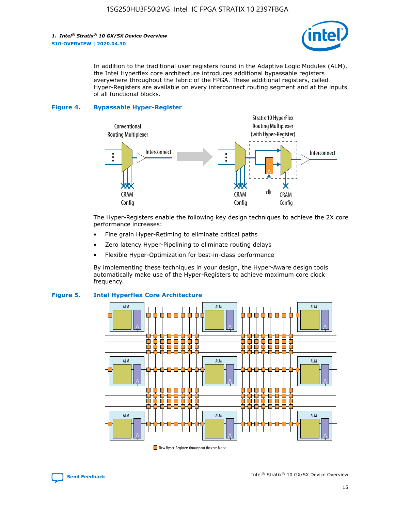

In addition to the traditional user registers found in the Adaptive Logic Modules (ALM), the Intel Hyperflex core architecture introduces additional bypassable registers everywhere throughout the fabric of the FPGA. These additional registers, called Hyper-Registers are available on every interconnect routing segment and at the inputs of all functional blocks.

#### **Figure 4. Bypassable Hyper-Register**



The Hyper-Registers enable the following key design techniques to achieve the 2X core performance increases:

- Fine grain Hyper-Retiming to eliminate critical paths
- Zero latency Hyper-Pipelining to eliminate routing delays
- Flexible Hyper-Optimization for best-in-class performance

By implementing these techniques in your design, the Hyper-Aware design tools automatically make use of the Hyper-Registers to achieve maximum core clock frequency.



## **Figure 5. Intel Hyperflex Core Architecture**

New Hyper-Registers throughout the core fabric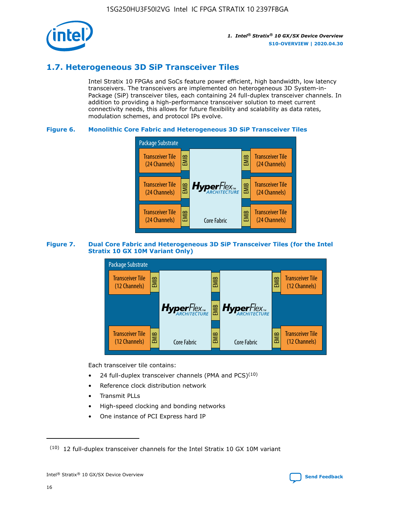

## **1.7. Heterogeneous 3D SiP Transceiver Tiles**

Intel Stratix 10 FPGAs and SoCs feature power efficient, high bandwidth, low latency transceivers. The transceivers are implemented on heterogeneous 3D System-in-Package (SiP) transceiver tiles, each containing 24 full-duplex transceiver channels. In addition to providing a high-performance transceiver solution to meet current connectivity needs, this allows for future flexibility and scalability as data rates, modulation schemes, and protocol IPs evolve.

## **Figure 6. Monolithic Core Fabric and Heterogeneous 3D SiP Transceiver Tiles**



## **Figure 7. Dual Core Fabric and Heterogeneous 3D SiP Transceiver Tiles (for the Intel Stratix 10 GX 10M Variant Only)**



Each transceiver tile contains:

- 24 full-duplex transceiver channels (PMA and PCS) $(10)$
- Reference clock distribution network
- Transmit PLLs
- High-speed clocking and bonding networks
- One instance of PCI Express hard IP

16



 $(10)$  12 full-duplex transceiver channels for the Intel Stratix 10 GX 10M variant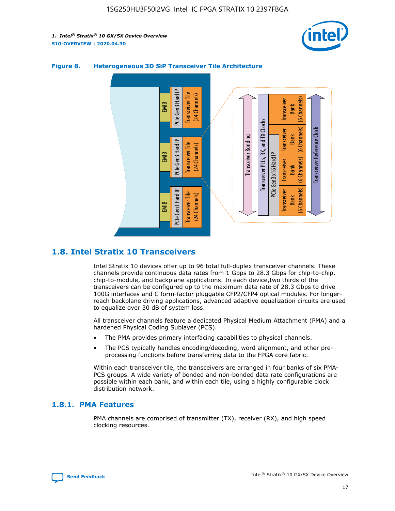



## **Figure 8. Heterogeneous 3D SiP Transceiver Tile Architecture**

## **1.8. Intel Stratix 10 Transceivers**

Intel Stratix 10 devices offer up to 96 total full-duplex transceiver channels. These channels provide continuous data rates from 1 Gbps to 28.3 Gbps for chip-to-chip, chip-to-module, and backplane applications. In each device,two thirds of the transceivers can be configured up to the maximum data rate of 28.3 Gbps to drive 100G interfaces and C form-factor pluggable CFP2/CFP4 optical modules. For longerreach backplane driving applications, advanced adaptive equalization circuits are used to equalize over 30 dB of system loss.

All transceiver channels feature a dedicated Physical Medium Attachment (PMA) and a hardened Physical Coding Sublayer (PCS).

- The PMA provides primary interfacing capabilities to physical channels.
- The PCS typically handles encoding/decoding, word alignment, and other preprocessing functions before transferring data to the FPGA core fabric.

Within each transceiver tile, the transceivers are arranged in four banks of six PMA-PCS groups. A wide variety of bonded and non-bonded data rate configurations are possible within each bank, and within each tile, using a highly configurable clock distribution network.

## **1.8.1. PMA Features**

PMA channels are comprised of transmitter (TX), receiver (RX), and high speed clocking resources.

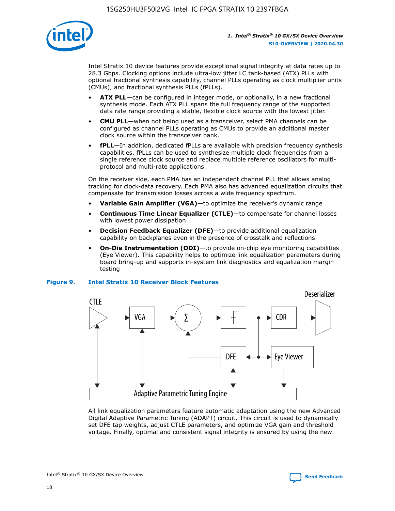

Intel Stratix 10 device features provide exceptional signal integrity at data rates up to 28.3 Gbps. Clocking options include ultra-low jitter LC tank-based (ATX) PLLs with optional fractional synthesis capability, channel PLLs operating as clock multiplier units (CMUs), and fractional synthesis PLLs (fPLLs).

- **ATX PLL**—can be configured in integer mode, or optionally, in a new fractional synthesis mode. Each ATX PLL spans the full frequency range of the supported data rate range providing a stable, flexible clock source with the lowest jitter.
- **CMU PLL**—when not being used as a transceiver, select PMA channels can be configured as channel PLLs operating as CMUs to provide an additional master clock source within the transceiver bank.
- **fPLL**—In addition, dedicated fPLLs are available with precision frequency synthesis capabilities. fPLLs can be used to synthesize multiple clock frequencies from a single reference clock source and replace multiple reference oscillators for multiprotocol and multi-rate applications.

On the receiver side, each PMA has an independent channel PLL that allows analog tracking for clock-data recovery. Each PMA also has advanced equalization circuits that compensate for transmission losses across a wide frequency spectrum.

- **Variable Gain Amplifier (VGA)**—to optimize the receiver's dynamic range
- **Continuous Time Linear Equalizer (CTLE)**—to compensate for channel losses with lowest power dissipation
- **Decision Feedback Equalizer (DFE)**—to provide additional equalization capability on backplanes even in the presence of crosstalk and reflections
- **On-Die Instrumentation (ODI)**—to provide on-chip eye monitoring capabilities (Eye Viewer). This capability helps to optimize link equalization parameters during board bring-up and supports in-system link diagnostics and equalization margin testing

## **Figure 9. Intel Stratix 10 Receiver Block Features**



All link equalization parameters feature automatic adaptation using the new Advanced Digital Adaptive Parametric Tuning (ADAPT) circuit. This circuit is used to dynamically set DFE tap weights, adjust CTLE parameters, and optimize VGA gain and threshold voltage. Finally, optimal and consistent signal integrity is ensured by using the new



Intel<sup>®</sup> Stratix<sup>®</sup> 10 GX/SX Device Overview **[Send Feedback](mailto:FPGAtechdocfeedback@intel.com?subject=Feedback%20on%20Intel%20Stratix%2010%20GX/SX%20Device%20Overview%20(S10-OVERVIEW%202020.04.30)&body=We%20appreciate%20your%20feedback.%20In%20your%20comments,%20also%20specify%20the%20page%20number%20or%20paragraph.%20Thank%20you.)** Send Feedback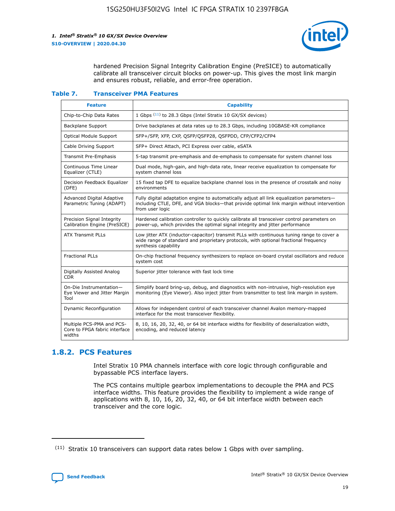

hardened Precision Signal Integrity Calibration Engine (PreSICE) to automatically calibrate all transceiver circuit blocks on power-up. This gives the most link margin and ensures robust, reliable, and error-free operation.

#### **Table 7. Transceiver PMA Features**

| <b>Feature</b>                                                       | <b>Capability</b>                                                                                                                                                                                         |
|----------------------------------------------------------------------|-----------------------------------------------------------------------------------------------------------------------------------------------------------------------------------------------------------|
| Chip-to-Chip Data Rates                                              | 1 Gbps (11) to 28.3 Gbps (Intel Stratix 10 GX/SX devices)                                                                                                                                                 |
| <b>Backplane Support</b>                                             | Drive backplanes at data rates up to 28.3 Gbps, including 10GBASE-KR compliance                                                                                                                           |
| Optical Module Support                                               | SFP+/SFP, XFP, CXP, QSFP/QSFP28, QSFPDD, CFP/CFP2/CFP4                                                                                                                                                    |
| Cable Driving Support                                                | SFP+ Direct Attach, PCI Express over cable, eSATA                                                                                                                                                         |
| <b>Transmit Pre-Emphasis</b>                                         | 5-tap transmit pre-emphasis and de-emphasis to compensate for system channel loss                                                                                                                         |
| Continuous Time Linear<br>Equalizer (CTLE)                           | Dual mode, high-gain, and high-data rate, linear receive equalization to compensate for<br>system channel loss                                                                                            |
| Decision Feedback Equalizer<br>(DFE)                                 | 15 fixed tap DFE to equalize backplane channel loss in the presence of crosstalk and noisy<br>environments                                                                                                |
| Advanced Digital Adaptive<br>Parametric Tuning (ADAPT)               | Fully digital adaptation engine to automatically adjust all link equalization parameters-<br>including CTLE, DFE, and VGA blocks-that provide optimal link margin without intervention<br>from user logic |
| Precision Signal Integrity<br>Calibration Engine (PreSICE)           | Hardened calibration controller to quickly calibrate all transceiver control parameters on<br>power-up, which provides the optimal signal integrity and jitter performance                                |
| <b>ATX Transmit PLLs</b>                                             | Low jitter ATX (inductor-capacitor) transmit PLLs with continuous tuning range to cover a<br>wide range of standard and proprietary protocols, with optional fractional frequency<br>synthesis capability |
| <b>Fractional PLLs</b>                                               | On-chip fractional frequency synthesizers to replace on-board crystal oscillators and reduce<br>system cost                                                                                               |
| Digitally Assisted Analog<br>CDR.                                    | Superior jitter tolerance with fast lock time                                                                                                                                                             |
| On-Die Instrumentation-<br>Eye Viewer and Jitter Margin<br>Tool      | Simplify board bring-up, debug, and diagnostics with non-intrusive, high-resolution eye<br>monitoring (Eye Viewer). Also inject jitter from transmitter to test link margin in system.                    |
| Dynamic Reconfiguration                                              | Allows for independent control of each transceiver channel Avalon memory-mapped<br>interface for the most transceiver flexibility.                                                                        |
| Multiple PCS-PMA and PCS-<br>Core to FPGA fabric interface<br>widths | 8, 10, 16, 20, 32, 40, or 64 bit interface widths for flexibility of deserialization width,<br>encoding, and reduced latency                                                                              |

## **1.8.2. PCS Features**

Intel Stratix 10 PMA channels interface with core logic through configurable and bypassable PCS interface layers.

The PCS contains multiple gearbox implementations to decouple the PMA and PCS interface widths. This feature provides the flexibility to implement a wide range of applications with 8, 10, 16, 20, 32, 40, or 64 bit interface width between each transceiver and the core logic.

<sup>(11)</sup> Stratix 10 transceivers can support data rates below 1 Gbps with over sampling.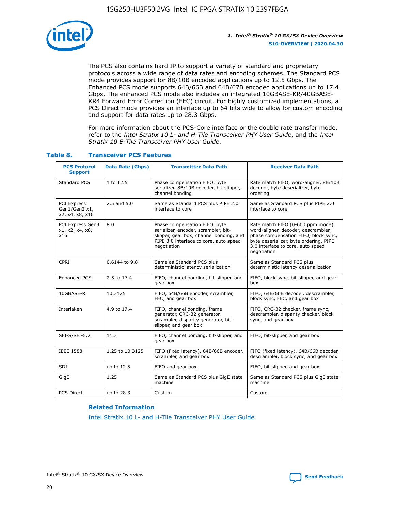

The PCS also contains hard IP to support a variety of standard and proprietary protocols across a wide range of data rates and encoding schemes. The Standard PCS mode provides support for 8B/10B encoded applications up to 12.5 Gbps. The Enhanced PCS mode supports 64B/66B and 64B/67B encoded applications up to 17.4 Gbps. The enhanced PCS mode also includes an integrated 10GBASE-KR/40GBASE-KR4 Forward Error Correction (FEC) circuit. For highly customized implementations, a PCS Direct mode provides an interface up to 64 bits wide to allow for custom encoding and support for data rates up to 28.3 Gbps.

For more information about the PCS-Core interface or the double rate transfer mode, refer to the *Intel Stratix 10 L- and H-Tile Transceiver PHY User Guide*, and the *Intel Stratix 10 E-Tile Transceiver PHY User Guide*.

| <b>PCS Protocol</b><br><b>Support</b>           | <b>Data Rate (Gbps)</b> | <b>Transmitter Data Path</b>                                                                                                                                              | <b>Receiver Data Path</b>                                                                                                                                                                                      |
|-------------------------------------------------|-------------------------|---------------------------------------------------------------------------------------------------------------------------------------------------------------------------|----------------------------------------------------------------------------------------------------------------------------------------------------------------------------------------------------------------|
| Standard PCS                                    | 1 to 12.5               | Phase compensation FIFO, byte<br>serializer, 8B/10B encoder, bit-slipper,<br>channel bonding                                                                              | Rate match FIFO, word-aligner, 8B/10B<br>decoder, byte deserializer, byte<br>ordering                                                                                                                          |
| PCI Express<br>Gen1/Gen2 x1,<br>x2, x4, x8, x16 | $2.5$ and $5.0$         | Same as Standard PCS plus PIPE 2.0<br>interface to core                                                                                                                   | Same as Standard PCS plus PIPE 2.0<br>interface to core                                                                                                                                                        |
| PCI Express Gen3<br>x1, x2, x4, x8,<br>x16      | 8.0                     | Phase compensation FIFO, byte<br>serializer, encoder, scrambler, bit-<br>slipper, gear box, channel bonding, and<br>PIPE 3.0 interface to core, auto speed<br>negotiation | Rate match FIFO (0-600 ppm mode),<br>word-aligner, decoder, descrambler,<br>phase compensation FIFO, block sync,<br>byte deserializer, byte ordering, PIPE<br>3.0 interface to core, auto speed<br>negotiation |
| CPRI                                            | 0.6144 to 9.8           | Same as Standard PCS plus<br>deterministic latency serialization                                                                                                          | Same as Standard PCS plus<br>deterministic latency deserialization                                                                                                                                             |
| <b>Enhanced PCS</b>                             | 2.5 to 17.4             | FIFO, channel bonding, bit-slipper, and<br>gear box                                                                                                                       | FIFO, block sync, bit-slipper, and gear<br>box                                                                                                                                                                 |
| 10GBASE-R                                       | 10.3125                 | FIFO, 64B/66B encoder, scrambler,<br>FEC, and gear box                                                                                                                    | FIFO, 64B/66B decoder, descrambler,<br>block sync, FEC, and gear box                                                                                                                                           |
| Interlaken                                      | 4.9 to 17.4             | FIFO, channel bonding, frame<br>generator, CRC-32 generator,<br>scrambler, disparity generator, bit-<br>slipper, and gear box                                             | FIFO, CRC-32 checker, frame sync,<br>descrambler, disparity checker, block<br>sync, and gear box                                                                                                               |
| SFI-S/SFI-5.2                                   | 11.3                    | FIFO, channel bonding, bit-slipper, and<br>gear box                                                                                                                       | FIFO, bit-slipper, and gear box                                                                                                                                                                                |
| <b>IEEE 1588</b>                                | 1.25 to 10.3125         | FIFO (fixed latency), 64B/66B encoder,<br>scrambler, and gear box                                                                                                         | FIFO (fixed latency), 64B/66B decoder,<br>descrambler, block sync, and gear box                                                                                                                                |
| SDI                                             | up to 12.5              | FIFO and gear box                                                                                                                                                         | FIFO, bit-slipper, and gear box                                                                                                                                                                                |
| GigE                                            | 1.25                    | Same as Standard PCS plus GigE state<br>machine                                                                                                                           | Same as Standard PCS plus GigE state<br>machine                                                                                                                                                                |
| <b>PCS Direct</b>                               | up to 28.3              | Custom                                                                                                                                                                    | Custom                                                                                                                                                                                                         |

## **Table 8. Transceiver PCS Features**

#### **Related Information**

[Intel Stratix 10 L- and H-Tile Transceiver PHY User Guide](https://www.altera.com/documentation/wry1479165198810.html)

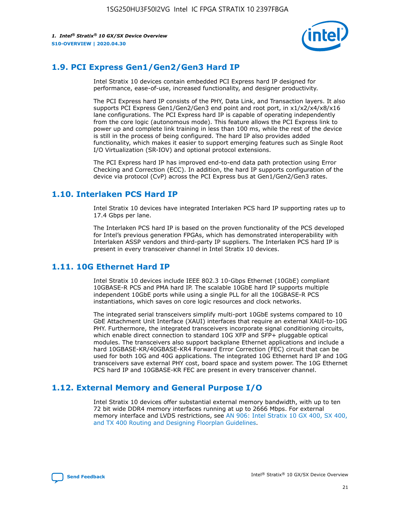

## **1.9. PCI Express Gen1/Gen2/Gen3 Hard IP**

Intel Stratix 10 devices contain embedded PCI Express hard IP designed for performance, ease-of-use, increased functionality, and designer productivity.

The PCI Express hard IP consists of the PHY, Data Link, and Transaction layers. It also supports PCI Express Gen1/Gen2/Gen3 end point and root port, in x1/x2/x4/x8/x16 lane configurations. The PCI Express hard IP is capable of operating independently from the core logic (autonomous mode). This feature allows the PCI Express link to power up and complete link training in less than 100 ms, while the rest of the device is still in the process of being configured. The hard IP also provides added functionality, which makes it easier to support emerging features such as Single Root I/O Virtualization (SR-IOV) and optional protocol extensions.

The PCI Express hard IP has improved end-to-end data path protection using Error Checking and Correction (ECC). In addition, the hard IP supports configuration of the device via protocol (CvP) across the PCI Express bus at Gen1/Gen2/Gen3 rates.

## **1.10. Interlaken PCS Hard IP**

Intel Stratix 10 devices have integrated Interlaken PCS hard IP supporting rates up to 17.4 Gbps per lane.

The Interlaken PCS hard IP is based on the proven functionality of the PCS developed for Intel's previous generation FPGAs, which has demonstrated interoperability with Interlaken ASSP vendors and third-party IP suppliers. The Interlaken PCS hard IP is present in every transceiver channel in Intel Stratix 10 devices.

## **1.11. 10G Ethernet Hard IP**

Intel Stratix 10 devices include IEEE 802.3 10-Gbps Ethernet (10GbE) compliant 10GBASE-R PCS and PMA hard IP. The scalable 10GbE hard IP supports multiple independent 10GbE ports while using a single PLL for all the 10GBASE-R PCS instantiations, which saves on core logic resources and clock networks.

The integrated serial transceivers simplify multi-port 10GbE systems compared to 10 GbE Attachment Unit Interface (XAUI) interfaces that require an external XAUI-to-10G PHY. Furthermore, the integrated transceivers incorporate signal conditioning circuits, which enable direct connection to standard 10G XFP and SFP+ pluggable optical modules. The transceivers also support backplane Ethernet applications and include a hard 10GBASE-KR/40GBASE-KR4 Forward Error Correction (FEC) circuit that can be used for both 10G and 40G applications. The integrated 10G Ethernet hard IP and 10G transceivers save external PHY cost, board space and system power. The 10G Ethernet PCS hard IP and 10GBASE-KR FEC are present in every transceiver channel.

## **1.12. External Memory and General Purpose I/O**

Intel Stratix 10 devices offer substantial external memory bandwidth, with up to ten 72 bit wide DDR4 memory interfaces running at up to 2666 Mbps. For external memory interface and LVDS restrictions, see [AN 906: Intel Stratix 10 GX 400, SX 400,](https://www.intel.com/content/www/us/en/programmable/documentation/sjf1574667190623.html#bft1574667627484) [and TX 400 Routing and Designing Floorplan Guidelines.](https://www.intel.com/content/www/us/en/programmable/documentation/sjf1574667190623.html#bft1574667627484)

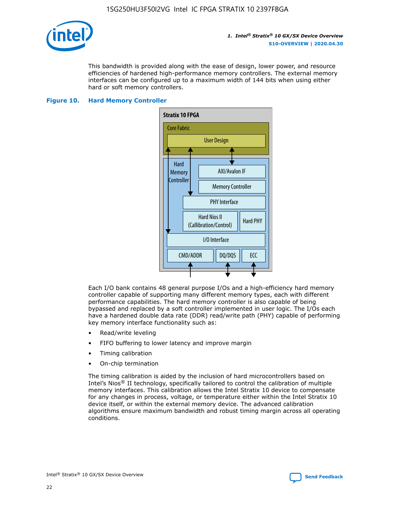

This bandwidth is provided along with the ease of design, lower power, and resource efficiencies of hardened high-performance memory controllers. The external memory interfaces can be configured up to a maximum width of 144 bits when using either hard or soft memory controllers.

#### **Figure 10. Hard Memory Controller**



Each I/O bank contains 48 general purpose I/Os and a high-efficiency hard memory controller capable of supporting many different memory types, each with different performance capabilities. The hard memory controller is also capable of being bypassed and replaced by a soft controller implemented in user logic. The I/Os each have a hardened double data rate (DDR) read/write path (PHY) capable of performing key memory interface functionality such as:

- Read/write leveling
- FIFO buffering to lower latency and improve margin
- Timing calibration
- On-chip termination

The timing calibration is aided by the inclusion of hard microcontrollers based on Intel's Nios® II technology, specifically tailored to control the calibration of multiple memory interfaces. This calibration allows the Intel Stratix 10 device to compensate for any changes in process, voltage, or temperature either within the Intel Stratix 10 device itself, or within the external memory device. The advanced calibration algorithms ensure maximum bandwidth and robust timing margin across all operating conditions.

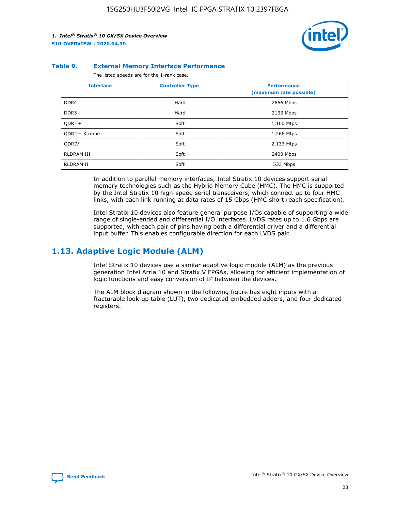

#### **Table 9. External Memory Interface Performance**

The listed speeds are for the 1-rank case.

| <b>Interface</b> | <b>Controller Type</b> | <b>Performance</b><br>(maximum rate possible) |  |
|------------------|------------------------|-----------------------------------------------|--|
| DDR4             | Hard                   | 2666 Mbps                                     |  |
| DDR <sub>3</sub> | Hard                   | 2133 Mbps                                     |  |
| QDRII+           | Soft                   | 1,100 Mtps                                    |  |
| QDRII+ Xtreme    | Soft                   | 1,266 Mtps                                    |  |
| <b>ODRIV</b>     | Soft                   | 2,133 Mtps                                    |  |
| RLDRAM III       | Soft                   | 2400 Mbps                                     |  |
| <b>RLDRAM II</b> | Soft                   | 533 Mbps                                      |  |

In addition to parallel memory interfaces, Intel Stratix 10 devices support serial memory technologies such as the Hybrid Memory Cube (HMC). The HMC is supported by the Intel Stratix 10 high-speed serial transceivers, which connect up to four HMC links, with each link running at data rates of 15 Gbps (HMC short reach specification).

Intel Stratix 10 devices also feature general purpose I/Os capable of supporting a wide range of single-ended and differential I/O interfaces. LVDS rates up to 1.6 Gbps are supported, with each pair of pins having both a differential driver and a differential input buffer. This enables configurable direction for each LVDS pair.

## **1.13. Adaptive Logic Module (ALM)**

Intel Stratix 10 devices use a similar adaptive logic module (ALM) as the previous generation Intel Arria 10 and Stratix V FPGAs, allowing for efficient implementation of logic functions and easy conversion of IP between the devices.

The ALM block diagram shown in the following figure has eight inputs with a fracturable look-up table (LUT), two dedicated embedded adders, and four dedicated registers.

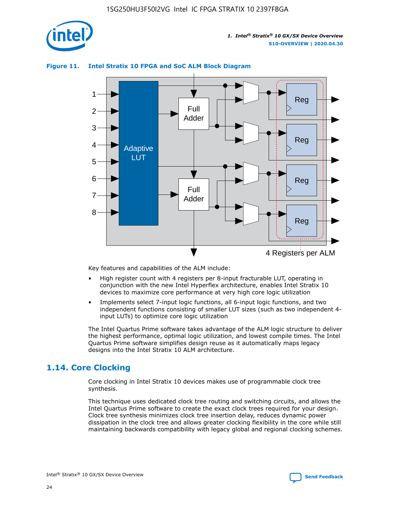

## **Figure 11. Intel Stratix 10 FPGA and SoC ALM Block Diagram**



Key features and capabilities of the ALM include:

- High register count with 4 registers per 8-input fracturable LUT, operating in conjunction with the new Intel Hyperflex architecture, enables Intel Stratix 10 devices to maximize core performance at very high core logic utilization
- Implements select 7-input logic functions, all 6-input logic functions, and two independent functions consisting of smaller LUT sizes (such as two independent 4 input LUTs) to optimize core logic utilization

The Intel Quartus Prime software takes advantage of the ALM logic structure to deliver the highest performance, optimal logic utilization, and lowest compile times. The Intel Quartus Prime software simplifies design reuse as it automatically maps legacy designs into the Intel Stratix 10 ALM architecture.

## **1.14. Core Clocking**

Core clocking in Intel Stratix 10 devices makes use of programmable clock tree synthesis.

This technique uses dedicated clock tree routing and switching circuits, and allows the Intel Quartus Prime software to create the exact clock trees required for your design. Clock tree synthesis minimizes clock tree insertion delay, reduces dynamic power dissipation in the clock tree and allows greater clocking flexibility in the core while still maintaining backwards compatibility with legacy global and regional clocking schemes.

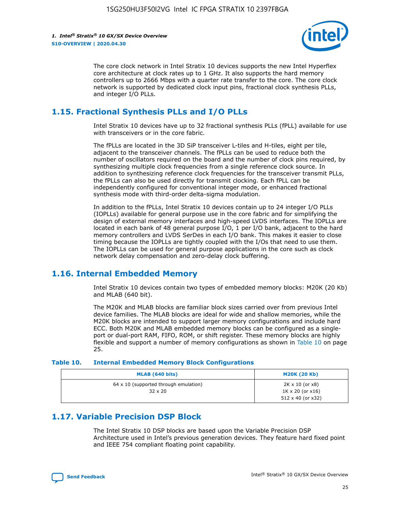

The core clock network in Intel Stratix 10 devices supports the new Intel Hyperflex core architecture at clock rates up to 1 GHz. It also supports the hard memory controllers up to 2666 Mbps with a quarter rate transfer to the core. The core clock network is supported by dedicated clock input pins, fractional clock synthesis PLLs, and integer I/O PLLs.

## **1.15. Fractional Synthesis PLLs and I/O PLLs**

Intel Stratix 10 devices have up to 32 fractional synthesis PLLs (fPLL) available for use with transceivers or in the core fabric.

The fPLLs are located in the 3D SiP transceiver L-tiles and H-tiles, eight per tile, adjacent to the transceiver channels. The fPLLs can be used to reduce both the number of oscillators required on the board and the number of clock pins required, by synthesizing multiple clock frequencies from a single reference clock source. In addition to synthesizing reference clock frequencies for the transceiver transmit PLLs, the fPLLs can also be used directly for transmit clocking. Each fPLL can be independently configured for conventional integer mode, or enhanced fractional synthesis mode with third-order delta-sigma modulation.

In addition to the fPLLs, Intel Stratix 10 devices contain up to 24 integer I/O PLLs (IOPLLs) available for general purpose use in the core fabric and for simplifying the design of external memory interfaces and high-speed LVDS interfaces. The IOPLLs are located in each bank of 48 general purpose I/O, 1 per I/O bank, adjacent to the hard memory controllers and LVDS SerDes in each I/O bank. This makes it easier to close timing because the IOPLLs are tightly coupled with the I/Os that need to use them. The IOPLLs can be used for general purpose applications in the core such as clock network delay compensation and zero-delay clock buffering.

## **1.16. Internal Embedded Memory**

Intel Stratix 10 devices contain two types of embedded memory blocks: M20K (20 Kb) and MLAB (640 bit).

The M20K and MLAB blocks are familiar block sizes carried over from previous Intel device families. The MLAB blocks are ideal for wide and shallow memories, while the M20K blocks are intended to support larger memory configurations and include hard ECC. Both M20K and MLAB embedded memory blocks can be configured as a singleport or dual-port RAM, FIFO, ROM, or shift register. These memory blocks are highly flexible and support a number of memory configurations as shown in Table 10 on page 25.

#### **Table 10. Internal Embedded Memory Block Configurations**

| MLAB (640 bits)                                                | <b>M20K (20 Kb)</b>                                                                    |
|----------------------------------------------------------------|----------------------------------------------------------------------------------------|
| $64 \times 10$ (supported through emulation)<br>$32 \times 20$ | $2K \times 10$ (or $x8$ )<br>$1K \times 20$ (or $x16$ )<br>$512 \times 40$ (or $x32$ ) |

## **1.17. Variable Precision DSP Block**

The Intel Stratix 10 DSP blocks are based upon the Variable Precision DSP Architecture used in Intel's previous generation devices. They feature hard fixed point and IEEE 754 compliant floating point capability.

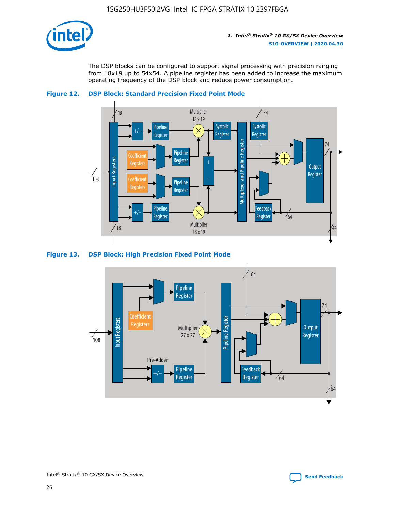

The DSP blocks can be configured to support signal processing with precision ranging from 18x19 up to 54x54. A pipeline register has been added to increase the maximum operating frequency of the DSP block and reduce power consumption.





#### **Figure 13. DSP Block: High Precision Fixed Point Mode**

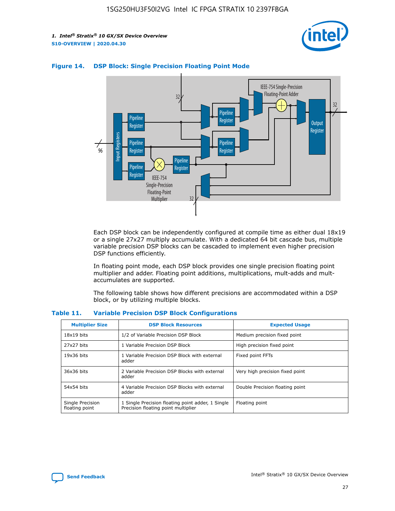



## **Figure 14. DSP Block: Single Precision Floating Point Mode**

Each DSP block can be independently configured at compile time as either dual 18x19 or a single 27x27 multiply accumulate. With a dedicated 64 bit cascade bus, multiple variable precision DSP blocks can be cascaded to implement even higher precision DSP functions efficiently.

In floating point mode, each DSP block provides one single precision floating point multiplier and adder. Floating point additions, multiplications, mult-adds and multaccumulates are supported.

The following table shows how different precisions are accommodated within a DSP block, or by utilizing multiple blocks.

| <b>Multiplier Size</b>             | <b>DSP Block Resources</b>                                                               | <b>Expected Usage</b>           |
|------------------------------------|------------------------------------------------------------------------------------------|---------------------------------|
| $18x19$ bits                       | 1/2 of Variable Precision DSP Block                                                      | Medium precision fixed point    |
| 27x27 bits                         | 1 Variable Precision DSP Block                                                           | High precision fixed point      |
| $19x36$ bits                       | 1 Variable Precision DSP Block with external<br>adder                                    | Fixed point FFTs                |
| 36x36 bits                         | 2 Variable Precision DSP Blocks with external<br>adder                                   | Very high precision fixed point |
| 54x54 bits                         | 4 Variable Precision DSP Blocks with external<br>adder                                   | Double Precision floating point |
| Single Precision<br>floating point | 1 Single Precision floating point adder, 1 Single<br>Precision floating point multiplier | Floating point                  |

#### **Table 11. Variable Precision DSP Block Configurations**

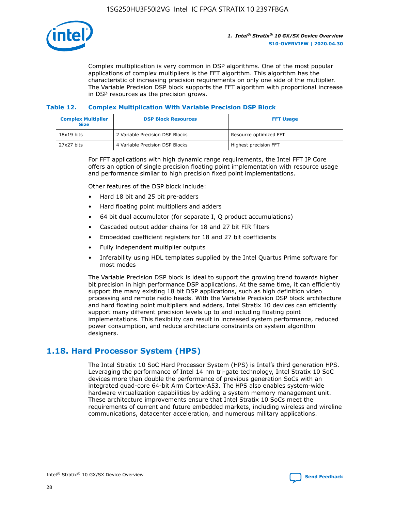

Complex multiplication is very common in DSP algorithms. One of the most popular applications of complex multipliers is the FFT algorithm. This algorithm has the characteristic of increasing precision requirements on only one side of the multiplier. The Variable Precision DSP block supports the FFT algorithm with proportional increase in DSP resources as the precision grows.

## **Table 12. Complex Multiplication With Variable Precision DSP Block**

| <b>Complex Multiplier</b><br><b>Size</b> | <b>DSP Block Resources</b>      | <b>FFT Usage</b>       |
|------------------------------------------|---------------------------------|------------------------|
| $18x19$ bits                             | 2 Variable Precision DSP Blocks | Resource optimized FFT |
| 27x27 bits                               | 4 Variable Precision DSP Blocks | Highest precision FFT  |

For FFT applications with high dynamic range requirements, the Intel FFT IP Core offers an option of single precision floating point implementation with resource usage and performance similar to high precision fixed point implementations.

Other features of the DSP block include:

- Hard 18 bit and 25 bit pre-adders
- Hard floating point multipliers and adders
- 64 bit dual accumulator (for separate I, Q product accumulations)
- Cascaded output adder chains for 18 and 27 bit FIR filters
- Embedded coefficient registers for 18 and 27 bit coefficients
- Fully independent multiplier outputs
- Inferability using HDL templates supplied by the Intel Quartus Prime software for most modes

The Variable Precision DSP block is ideal to support the growing trend towards higher bit precision in high performance DSP applications. At the same time, it can efficiently support the many existing 18 bit DSP applications, such as high definition video processing and remote radio heads. With the Variable Precision DSP block architecture and hard floating point multipliers and adders, Intel Stratix 10 devices can efficiently support many different precision levels up to and including floating point implementations. This flexibility can result in increased system performance, reduced power consumption, and reduce architecture constraints on system algorithm designers.

## **1.18. Hard Processor System (HPS)**

The Intel Stratix 10 SoC Hard Processor System (HPS) is Intel's third generation HPS. Leveraging the performance of Intel 14 nm tri-gate technology, Intel Stratix 10 SoC devices more than double the performance of previous generation SoCs with an integrated quad-core 64-bit Arm Cortex-A53. The HPS also enables system-wide hardware virtualization capabilities by adding a system memory management unit. These architecture improvements ensure that Intel Stratix 10 SoCs meet the requirements of current and future embedded markets, including wireless and wireline communications, datacenter acceleration, and numerous military applications.

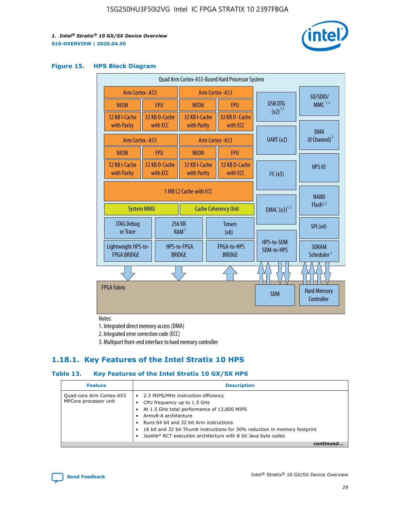

#### **Figure 15. HPS Block Diagram**

| Quad Arm Cortex-A53-Based Hard Processor System |                                             |                           |                                                           |            |                              |                                  |                                     |                                        |
|-------------------------------------------------|---------------------------------------------|---------------------------|-----------------------------------------------------------|------------|------------------------------|----------------------------------|-------------------------------------|----------------------------------------|
| Arm Cortex - A53                                |                                             |                           | Arm Cortex - A53                                          |            |                              |                                  | SD/SDIO/                            |                                        |
| <b>NEON</b>                                     |                                             | <b>FPU</b>                | <b>NEON</b>                                               |            | <b>FPU</b>                   | USB OTG                          |                                     | $MMC$ <sup>1,2</sup>                   |
| 32 KB I-Cache<br>with Parity                    |                                             | 32 KB D-Cache<br>with ECC | 32 KB I-Cache<br>with Parity                              |            | 32 KB D - Cache<br>with ECC  | $(x2)^{1,2}$                     |                                     |                                        |
|                                                 | Arm Cortex - A53                            |                           |                                                           |            | Arm Cortex - A53             | UART (x2)                        |                                     | <b>DMA</b><br>(8 Channel) <sup>2</sup> |
| <b>NEON</b>                                     |                                             | <b>FPU</b>                | <b>NEON</b>                                               |            | <b>FPU</b>                   |                                  |                                     |                                        |
| 32 KB I-Cache<br>with Parity                    |                                             | 32 KB D-Cache<br>with ECC | 32 KB I-Cache<br>32 KB D-Cache<br>with ECC<br>with Parity |            | I <sup>2</sup> C(x5)         |                                  | <b>HPS 10</b>                       |                                        |
|                                                 | 1 MB L2 Cache with ECC<br><b>System MMU</b> |                           | <b>Cache Coherency Unit</b>                               |            | <b>EMAC</b> $(x3)^{1,2}$     |                                  | <b>NAND</b><br>Flash <sup>1,2</sup> |                                        |
| <b>JTAG Debug</b><br>or Trace                   |                                             | 256 KB                    | <b>Timers</b><br>RAM <sup>2</sup><br>(x8)                 |            |                              |                                  | SPI(x4)                             |                                        |
| Lightweight HPS-to-<br><b>FPGA BRIDGE</b>       |                                             |                           | HPS-to-FPGA<br><b>BRIDGE</b>                              |            | FPGA-to-HPS<br><b>BRIDGE</b> | HPS-to-SDM<br>SDM-to-HPS         |                                     | <b>SDRAM</b><br>Scheduler <sup>3</sup> |
|                                                 |                                             |                           |                                                           |            |                              |                                  |                                     |                                        |
| <b>FPGA Fabric</b>                              |                                             |                           |                                                           | <b>SDM</b> |                              | <b>Hard Memory</b><br>Controller |                                     |                                        |

Notes:

1. Integrated direct memory access (DMA)

2. Integrated error correction code (ECC)

3. Multiport front-end interface to hard memory controller

## **1.18.1. Key Features of the Intel Stratix 10 HPS**

## **Table 13. Key Features of the Intel Stratix 10 GX/SX HPS**

| <b>Feature</b>                                    | <b>Description</b>                                                                                                                                                                                                                                                                                                                                     |
|---------------------------------------------------|--------------------------------------------------------------------------------------------------------------------------------------------------------------------------------------------------------------------------------------------------------------------------------------------------------------------------------------------------------|
| Quad-core Arm Cortex-A53<br>MPCore processor unit | 2.3 MIPS/MHz instruction efficiency<br>$\bullet$<br>CPU frequency up to 1.5 GHz<br>٠<br>At 1.5 GHz total performance of 13,800 MIPS<br>Army8-A architecture<br>Runs 64 bit and 32 bit Arm instructions<br>16 bit and 32 bit Thumb instructions for 30% reduction in memory footprint<br>Jazelle* RCT execution architecture with 8 bit Java byte codes |
|                                                   |                                                                                                                                                                                                                                                                                                                                                        |

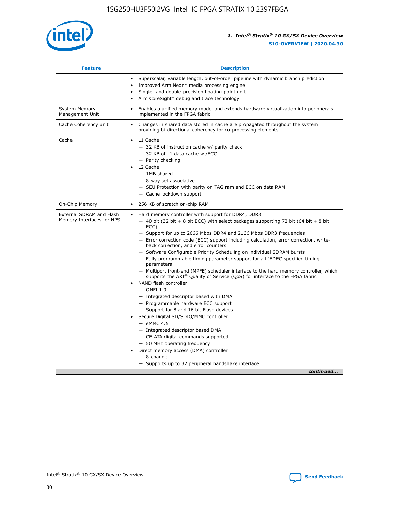

| <b>Feature</b>                                        | <b>Description</b>                                                                                                                                                                                                                                                                                                                                                                                                                                                                                                                                                                                                                                                                                                                                                                                                                                                                                                                                                                                                                                                                                                                                                                                                     |  |
|-------------------------------------------------------|------------------------------------------------------------------------------------------------------------------------------------------------------------------------------------------------------------------------------------------------------------------------------------------------------------------------------------------------------------------------------------------------------------------------------------------------------------------------------------------------------------------------------------------------------------------------------------------------------------------------------------------------------------------------------------------------------------------------------------------------------------------------------------------------------------------------------------------------------------------------------------------------------------------------------------------------------------------------------------------------------------------------------------------------------------------------------------------------------------------------------------------------------------------------------------------------------------------------|--|
|                                                       | Superscalar, variable length, out-of-order pipeline with dynamic branch prediction<br>Improved Arm Neon* media processing engine<br>$\bullet$<br>Single- and double-precision floating-point unit<br>Arm CoreSight* debug and trace technology<br>$\bullet$                                                                                                                                                                                                                                                                                                                                                                                                                                                                                                                                                                                                                                                                                                                                                                                                                                                                                                                                                            |  |
| <b>System Memory</b><br>Management Unit               | Enables a unified memory model and extends hardware virtualization into peripherals<br>$\bullet$<br>implemented in the FPGA fabric                                                                                                                                                                                                                                                                                                                                                                                                                                                                                                                                                                                                                                                                                                                                                                                                                                                                                                                                                                                                                                                                                     |  |
| Cache Coherency unit                                  | $\bullet$<br>Changes in shared data stored in cache are propagated throughout the system<br>providing bi-directional coherency for co-processing elements.                                                                                                                                                                                                                                                                                                                                                                                                                                                                                                                                                                                                                                                                                                                                                                                                                                                                                                                                                                                                                                                             |  |
| Cache                                                 | L1 Cache<br>$\bullet$<br>- 32 KB of instruction cache w/ parity check<br>- 32 KB of L1 data cache w /ECC<br>- Parity checking<br>L2 Cache<br>$-$ 1MB shared<br>- 8-way set associative<br>- SEU Protection with parity on TAG ram and ECC on data RAM<br>- Cache lockdown support                                                                                                                                                                                                                                                                                                                                                                                                                                                                                                                                                                                                                                                                                                                                                                                                                                                                                                                                      |  |
| On-Chip Memory                                        | 256 KB of scratch on-chip RAM<br>$\bullet$                                                                                                                                                                                                                                                                                                                                                                                                                                                                                                                                                                                                                                                                                                                                                                                                                                                                                                                                                                                                                                                                                                                                                                             |  |
| External SDRAM and Flash<br>Memory Interfaces for HPS | Hard memory controller with support for DDR4, DDR3<br>$\bullet$<br>$-$ 40 bit (32 bit + 8 bit ECC) with select packages supporting 72 bit (64 bit + 8 bit<br>ECC)<br>- Support for up to 2666 Mbps DDR4 and 2166 Mbps DDR3 frequencies<br>- Error correction code (ECC) support including calculation, error correction, write-<br>back correction, and error counters<br>- Software Configurable Priority Scheduling on individual SDRAM bursts<br>- Fully programmable timing parameter support for all JEDEC-specified timing<br>parameters<br>- Multiport front-end (MPFE) scheduler interface to the hard memory controller, which<br>supports the $AXI^{\circledR}$ Quality of Service (QoS) for interface to the FPGA fabric<br>NAND flash controller<br>$-$ ONFI 1.0<br>- Integrated descriptor based with DMA<br>- Programmable hardware ECC support<br>- Support for 8 and 16 bit Flash devices<br>Secure Digital SD/SDIO/MMC controller<br>$-$ eMMC 4.5<br>- Integrated descriptor based DMA<br>- CE-ATA digital commands supported<br>- 50 MHz operating frequency<br>Direct memory access (DMA) controller<br>$\bullet$<br>- 8-channel<br>- Supports up to 32 peripheral handshake interface<br>continued |  |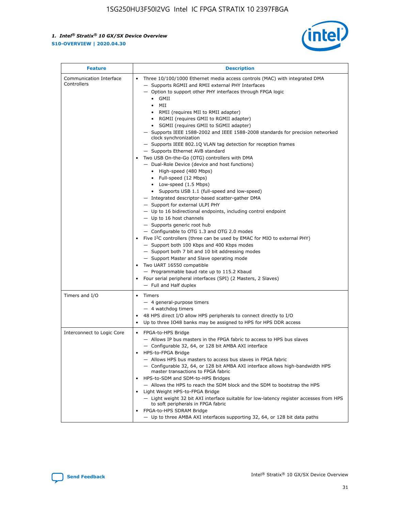

| <b>Feature</b>                         | <b>Description</b>                                                                                                                                                                                                                                                                                                                                                                                                                                                                                                                                                                                                                                                                                                                                                                                                                                                                                                                                                                                                                                                                                                                                                                                                                                                                                                                                                                                                                                                                           |
|----------------------------------------|----------------------------------------------------------------------------------------------------------------------------------------------------------------------------------------------------------------------------------------------------------------------------------------------------------------------------------------------------------------------------------------------------------------------------------------------------------------------------------------------------------------------------------------------------------------------------------------------------------------------------------------------------------------------------------------------------------------------------------------------------------------------------------------------------------------------------------------------------------------------------------------------------------------------------------------------------------------------------------------------------------------------------------------------------------------------------------------------------------------------------------------------------------------------------------------------------------------------------------------------------------------------------------------------------------------------------------------------------------------------------------------------------------------------------------------------------------------------------------------------|
| Communication Interface<br>Controllers | Three 10/100/1000 Ethernet media access controls (MAC) with integrated DMA<br>- Supports RGMII and RMII external PHY Interfaces<br>- Option to support other PHY interfaces through FPGA logic<br>$\bullet$ GMII<br>MII<br>$\bullet$<br>RMII (requires MII to RMII adapter)<br>• RGMII (requires GMII to RGMII adapter)<br>SGMII (requires GMII to SGMII adapter)<br>- Supports IEEE 1588-2002 and IEEE 1588-2008 standards for precision networked<br>clock synchronization<br>- Supports IEEE 802.1Q VLAN tag detection for reception frames<br>- Supports Ethernet AVB standard<br>Two USB On-the-Go (OTG) controllers with DMA<br>- Dual-Role Device (device and host functions)<br>• High-speed (480 Mbps)<br>• Full-speed (12 Mbps)<br>• Low-speed (1.5 Mbps)<br>• Supports USB 1.1 (full-speed and low-speed)<br>- Integrated descriptor-based scatter-gather DMA<br>- Support for external ULPI PHY<br>- Up to 16 bidirectional endpoints, including control endpoint<br>$-$ Up to 16 host channels<br>- Supports generic root hub<br>- Configurable to OTG 1.3 and OTG 2.0 modes<br>Five $I2C$ controllers (three can be used by EMAC for MIO to external PHY)<br>- Support both 100 Kbps and 400 Kbps modes<br>- Support both 7 bit and 10 bit addressing modes<br>- Support Master and Slave operating mode<br>Two UART 16550 compatible<br>- Programmable baud rate up to 115.2 Kbaud<br>Four serial peripheral interfaces (SPI) (2 Masters, 2 Slaves)<br>- Full and Half duplex |
| Timers and I/O                         | Timers<br>- 4 general-purpose timers<br>$-4$ watchdog timers<br>48 HPS direct I/O allow HPS peripherals to connect directly to I/O<br>Up to three IO48 banks may be assigned to HPS for HPS DDR access                                                                                                                                                                                                                                                                                                                                                                                                                                                                                                                                                                                                                                                                                                                                                                                                                                                                                                                                                                                                                                                                                                                                                                                                                                                                                       |
| Interconnect to Logic Core             | • FPGA-to-HPS Bridge<br>- Allows IP bus masters in the FPGA fabric to access to HPS bus slaves<br>- Configurable 32, 64, or 128 bit AMBA AXI interface<br>HPS-to-FPGA Bridge<br>- Allows HPS bus masters to access bus slaves in FPGA fabric<br>- Configurable 32, 64, or 128 bit AMBA AXI interface allows high-bandwidth HPS<br>master transactions to FPGA fabric<br>HPS-to-SDM and SDM-to-HPS Bridges<br>- Allows the HPS to reach the SDM block and the SDM to bootstrap the HPS<br>Light Weight HPS-to-FPGA Bridge<br>- Light weight 32 bit AXI interface suitable for low-latency register accesses from HPS<br>to soft peripherals in FPGA fabric<br>FPGA-to-HPS SDRAM Bridge<br>- Up to three AMBA AXI interfaces supporting 32, 64, or 128 bit data paths                                                                                                                                                                                                                                                                                                                                                                                                                                                                                                                                                                                                                                                                                                                          |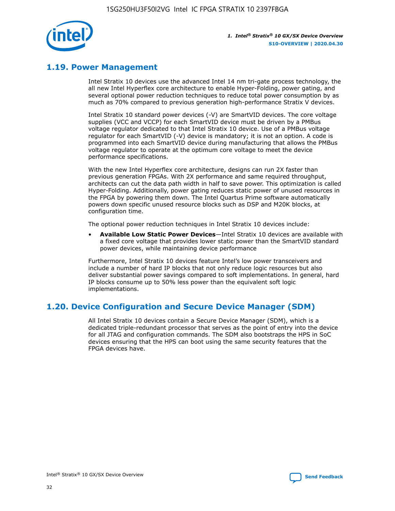

## **1.19. Power Management**

Intel Stratix 10 devices use the advanced Intel 14 nm tri-gate process technology, the all new Intel Hyperflex core architecture to enable Hyper-Folding, power gating, and several optional power reduction techniques to reduce total power consumption by as much as 70% compared to previous generation high-performance Stratix V devices.

Intel Stratix 10 standard power devices (-V) are SmartVID devices. The core voltage supplies (VCC and VCCP) for each SmartVID device must be driven by a PMBus voltage regulator dedicated to that Intel Stratix 10 device. Use of a PMBus voltage regulator for each SmartVID (-V) device is mandatory; it is not an option. A code is programmed into each SmartVID device during manufacturing that allows the PMBus voltage regulator to operate at the optimum core voltage to meet the device performance specifications.

With the new Intel Hyperflex core architecture, designs can run 2X faster than previous generation FPGAs. With 2X performance and same required throughput, architects can cut the data path width in half to save power. This optimization is called Hyper-Folding. Additionally, power gating reduces static power of unused resources in the FPGA by powering them down. The Intel Quartus Prime software automatically powers down specific unused resource blocks such as DSP and M20K blocks, at configuration time.

The optional power reduction techniques in Intel Stratix 10 devices include:

• **Available Low Static Power Devices**—Intel Stratix 10 devices are available with a fixed core voltage that provides lower static power than the SmartVID standard power devices, while maintaining device performance

Furthermore, Intel Stratix 10 devices feature Intel's low power transceivers and include a number of hard IP blocks that not only reduce logic resources but also deliver substantial power savings compared to soft implementations. In general, hard IP blocks consume up to 50% less power than the equivalent soft logic implementations.

## **1.20. Device Configuration and Secure Device Manager (SDM)**

All Intel Stratix 10 devices contain a Secure Device Manager (SDM), which is a dedicated triple-redundant processor that serves as the point of entry into the device for all JTAG and configuration commands. The SDM also bootstraps the HPS in SoC devices ensuring that the HPS can boot using the same security features that the FPGA devices have.

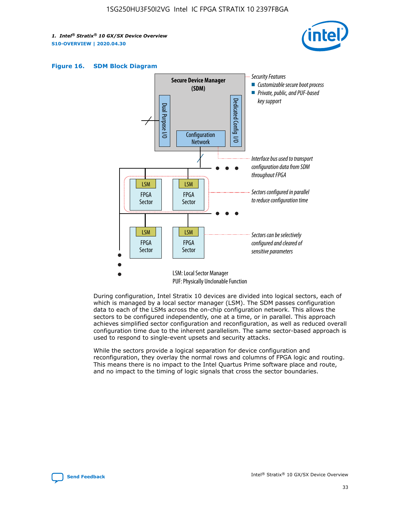





During configuration, Intel Stratix 10 devices are divided into logical sectors, each of which is managed by a local sector manager (LSM). The SDM passes configuration data to each of the LSMs across the on-chip configuration network. This allows the sectors to be configured independently, one at a time, or in parallel. This approach achieves simplified sector configuration and reconfiguration, as well as reduced overall configuration time due to the inherent parallelism. The same sector-based approach is used to respond to single-event upsets and security attacks.

While the sectors provide a logical separation for device configuration and reconfiguration, they overlay the normal rows and columns of FPGA logic and routing. This means there is no impact to the Intel Quartus Prime software place and route, and no impact to the timing of logic signals that cross the sector boundaries.

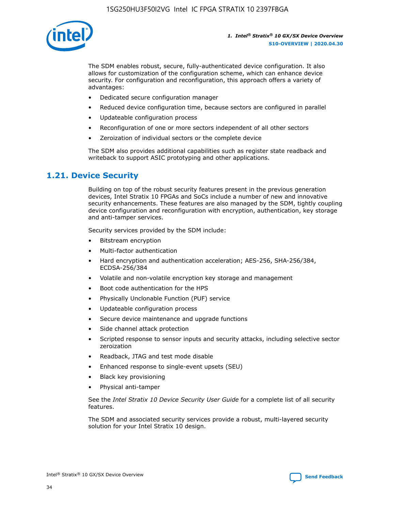

The SDM enables robust, secure, fully-authenticated device configuration. It also allows for customization of the configuration scheme, which can enhance device security. For configuration and reconfiguration, this approach offers a variety of advantages:

- Dedicated secure configuration manager
- Reduced device configuration time, because sectors are configured in parallel
- Updateable configuration process
- Reconfiguration of one or more sectors independent of all other sectors
- Zeroization of individual sectors or the complete device

The SDM also provides additional capabilities such as register state readback and writeback to support ASIC prototyping and other applications.

## **1.21. Device Security**

Building on top of the robust security features present in the previous generation devices, Intel Stratix 10 FPGAs and SoCs include a number of new and innovative security enhancements. These features are also managed by the SDM, tightly coupling device configuration and reconfiguration with encryption, authentication, key storage and anti-tamper services.

Security services provided by the SDM include:

- Bitstream encryption
- Multi-factor authentication
- Hard encryption and authentication acceleration; AES-256, SHA-256/384, ECDSA-256/384
- Volatile and non-volatile encryption key storage and management
- Boot code authentication for the HPS
- Physically Unclonable Function (PUF) service
- Updateable configuration process
- Secure device maintenance and upgrade functions
- Side channel attack protection
- Scripted response to sensor inputs and security attacks, including selective sector zeroization
- Readback, JTAG and test mode disable
- Enhanced response to single-event upsets (SEU)
- Black key provisioning
- Physical anti-tamper

See the *Intel Stratix 10 Device Security User Guide* for a complete list of all security features.

The SDM and associated security services provide a robust, multi-layered security solution for your Intel Stratix 10 design.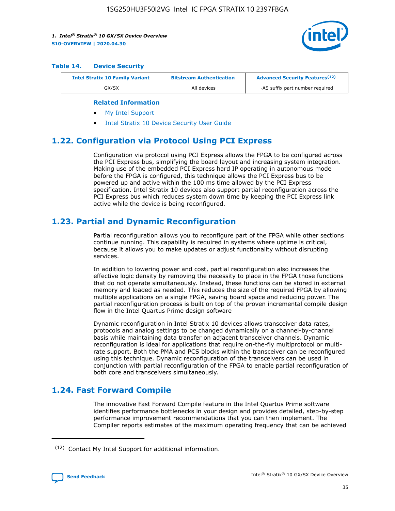

#### **Table 14. Device Security**

| <b>Intel Stratix 10 Family Variant</b> | <b>Bitstream Authentication</b> | <b>Advanced Security Features</b> <sup>(12)</sup> |  |  |
|----------------------------------------|---------------------------------|---------------------------------------------------|--|--|
| GX/SX                                  | All devices                     | -AS suffix part number required                   |  |  |

#### **Related Information**

- [My Intel Support](https://www.intel.com/content/www/us/en/programmable/my-intel/mal-home.html)
- [Intel Stratix 10 Device Security User Guide](https://www.intel.com/content/www/us/en/programmable/documentation/ndq1483601370898.html#wcd1483611014402)

## **1.22. Configuration via Protocol Using PCI Express**

Configuration via protocol using PCI Express allows the FPGA to be configured across the PCI Express bus, simplifying the board layout and increasing system integration. Making use of the embedded PCI Express hard IP operating in autonomous mode before the FPGA is configured, this technique allows the PCI Express bus to be powered up and active within the 100 ms time allowed by the PCI Express specification. Intel Stratix 10 devices also support partial reconfiguration across the PCI Express bus which reduces system down time by keeping the PCI Express link active while the device is being reconfigured.

## **1.23. Partial and Dynamic Reconfiguration**

Partial reconfiguration allows you to reconfigure part of the FPGA while other sections continue running. This capability is required in systems where uptime is critical, because it allows you to make updates or adjust functionality without disrupting services.

In addition to lowering power and cost, partial reconfiguration also increases the effective logic density by removing the necessity to place in the FPGA those functions that do not operate simultaneously. Instead, these functions can be stored in external memory and loaded as needed. This reduces the size of the required FPGA by allowing multiple applications on a single FPGA, saving board space and reducing power. The partial reconfiguration process is built on top of the proven incremental compile design flow in the Intel Quartus Prime design software

Dynamic reconfiguration in Intel Stratix 10 devices allows transceiver data rates, protocols and analog settings to be changed dynamically on a channel-by-channel basis while maintaining data transfer on adjacent transceiver channels. Dynamic reconfiguration is ideal for applications that require on-the-fly multiprotocol or multirate support. Both the PMA and PCS blocks within the transceiver can be reconfigured using this technique. Dynamic reconfiguration of the transceivers can be used in conjunction with partial reconfiguration of the FPGA to enable partial reconfiguration of both core and transceivers simultaneously.

## **1.24. Fast Forward Compile**

The innovative Fast Forward Compile feature in the Intel Quartus Prime software identifies performance bottlenecks in your design and provides detailed, step-by-step performance improvement recommendations that you can then implement. The Compiler reports estimates of the maximum operating frequency that can be achieved

<sup>(12)</sup> Contact My Intel Support for additional information.

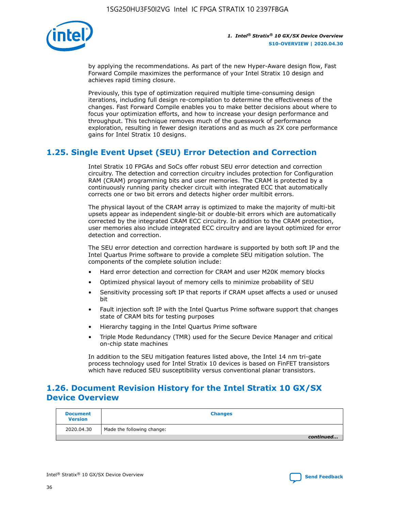

by applying the recommendations. As part of the new Hyper-Aware design flow, Fast Forward Compile maximizes the performance of your Intel Stratix 10 design and achieves rapid timing closure.

Previously, this type of optimization required multiple time-consuming design iterations, including full design re-compilation to determine the effectiveness of the changes. Fast Forward Compile enables you to make better decisions about where to focus your optimization efforts, and how to increase your design performance and throughput. This technique removes much of the guesswork of performance exploration, resulting in fewer design iterations and as much as 2X core performance gains for Intel Stratix 10 designs.

## **1.25. Single Event Upset (SEU) Error Detection and Correction**

Intel Stratix 10 FPGAs and SoCs offer robust SEU error detection and correction circuitry. The detection and correction circuitry includes protection for Configuration RAM (CRAM) programming bits and user memories. The CRAM is protected by a continuously running parity checker circuit with integrated ECC that automatically corrects one or two bit errors and detects higher order multibit errors.

The physical layout of the CRAM array is optimized to make the majority of multi-bit upsets appear as independent single-bit or double-bit errors which are automatically corrected by the integrated CRAM ECC circuitry. In addition to the CRAM protection, user memories also include integrated ECC circuitry and are layout optimized for error detection and correction.

The SEU error detection and correction hardware is supported by both soft IP and the Intel Quartus Prime software to provide a complete SEU mitigation solution. The components of the complete solution include:

- Hard error detection and correction for CRAM and user M20K memory blocks
- Optimized physical layout of memory cells to minimize probability of SEU
- Sensitivity processing soft IP that reports if CRAM upset affects a used or unused bit
- Fault injection soft IP with the Intel Quartus Prime software support that changes state of CRAM bits for testing purposes
- Hierarchy tagging in the Intel Quartus Prime software
- Triple Mode Redundancy (TMR) used for the Secure Device Manager and critical on-chip state machines

In addition to the SEU mitigation features listed above, the Intel 14 nm tri-gate process technology used for Intel Stratix 10 devices is based on FinFET transistors which have reduced SEU susceptibility versus conventional planar transistors.

## **1.26. Document Revision History for the Intel Stratix 10 GX/SX Device Overview**

| <b>Document</b><br><b>Version</b> | <b>Changes</b>             |
|-----------------------------------|----------------------------|
| 2020.04.30                        | Made the following change: |
|                                   | continued                  |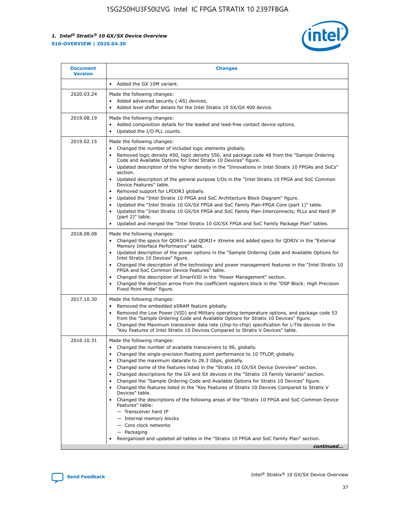

| <b>Document</b><br><b>Version</b> | <b>Changes</b>                                                                                                                                                                                                                                                                                                                                                                                                                                                                                                                                                                                                                                                                                                                                                                                                                                                                                                                                                                                              |
|-----------------------------------|-------------------------------------------------------------------------------------------------------------------------------------------------------------------------------------------------------------------------------------------------------------------------------------------------------------------------------------------------------------------------------------------------------------------------------------------------------------------------------------------------------------------------------------------------------------------------------------------------------------------------------------------------------------------------------------------------------------------------------------------------------------------------------------------------------------------------------------------------------------------------------------------------------------------------------------------------------------------------------------------------------------|
|                                   | Added the GX 10M variant.                                                                                                                                                                                                                                                                                                                                                                                                                                                                                                                                                                                                                                                                                                                                                                                                                                                                                                                                                                                   |
| 2020.03.24                        | Made the following changes:<br>Added advanced security (-AS) devices.<br>Added level shifter details for the Intel Stratix 10 SX/GX 400 device.                                                                                                                                                                                                                                                                                                                                                                                                                                                                                                                                                                                                                                                                                                                                                                                                                                                             |
| 2019.08.19                        | Made the following changes:<br>Added composition details for the leaded and lead-free contact device options.<br>$\bullet$<br>Updated the I/O PLL counts.                                                                                                                                                                                                                                                                                                                                                                                                                                                                                                                                                                                                                                                                                                                                                                                                                                                   |
| 2019.02.15                        | Made the following changes:<br>Changed the number of included logic elements globally.<br>$\bullet$<br>Removed logic density 450, logic density 550, and package code 48 from the "Sample Ordering<br>$\bullet$<br>Code and Available Options for Intel Stratix 10 Devices" figure.<br>Updated description of the higher density in the "Innovations in Intel Stratix 10 FPGAs and SoCs"<br>section.<br>Updated description of the general purpose I/Os in the "Intel Stratix 10 FPGA and SoC Common<br>$\bullet$<br>Device Features" table.<br>Removed support for LPDDR3 globally.<br>Updated the "Intel Stratix 10 FPGA and SoC Architecture Block Diagram" figure.<br>$\bullet$<br>Updated the "Intel Stratix 10 GX/SX FPGA and SoC Family Plan-FPGA Core (part 1)" table.<br>$\bullet$<br>Updated the "Intel Stratix 10 GX/SX FPGA and SoC Family Plan-Interconnects, PLLs and Hard IP<br>(part 2)" table.<br>Updated and merged the "Intel Stratix 10 GX/SX FPGA and SoC Family Package Plan" tables. |
| 2018.08.08                        | Made the following changes:<br>Changed the specs for QDRII+ and QDRII+ Xtreme and added specs for QDRIV in the "External<br>$\bullet$<br>Memory Interface Performance" table.<br>Updated description of the power options in the "Sample Ordering Code and Available Options for<br>Intel Stratix 10 Devices" figure.<br>Changed the description of the technology and power management features in the "Intel Stratix 10<br>FPGA and SoC Common Device Features" table.<br>Changed the description of SmartVID in the "Power Management" section.<br>Changed the direction arrow from the coefficient registers block in the "DSP Block: High Precision<br>$\bullet$<br>Fixed Point Mode" figure.                                                                                                                                                                                                                                                                                                          |
| 2017.10.30                        | Made the following changes:<br>Removed the embedded eSRAM feature globally.<br>$\bullet$<br>Removed the Low Power (VID) and Military operating temperature options, and package code 53<br>$\bullet$<br>from the "Sample Ordering Code and Available Options for Stratix 10 Devices" figure.<br>Changed the Maximum transceiver data rate (chip-to-chip) specification for L-Tile devices in the<br>"Key Features of Intel Stratix 10 Devices Compared to Stratix V Devices" table.                                                                                                                                                                                                                                                                                                                                                                                                                                                                                                                         |
| 2016.10.31                        | Made the following changes:<br>• Changed the number of available transceivers to 96, globally.<br>Changed the single-precision floating point performance to 10 TFLOP, globally.<br>Changed the maximum datarate to 28.3 Gbps, globally.<br>٠<br>Changed some of the features listed in the "Stratix 10 GX/SX Device Overview" section.<br>$\bullet$<br>Changed descriptions for the GX and SX devices in the "Stratix 10 Family Variants" section.<br>$\bullet$<br>Changed the "Sample Ordering Code and Available Options for Stratix 10 Devices" figure.<br>Changed the features listed in the "Key Features of Stratix 10 Devices Compared to Stratix V<br>Devices" table.<br>Changed the descriptions of the following areas of the "Stratix 10 FPGA and SoC Common Device<br>Features" table:<br>- Transceiver hard IP<br>- Internal memory blocks<br>- Core clock networks<br>- Packaging<br>Reorganized and updated all tables in the "Stratix 10 FPGA and SoC Family Plan" section.                |
|                                   | continued                                                                                                                                                                                                                                                                                                                                                                                                                                                                                                                                                                                                                                                                                                                                                                                                                                                                                                                                                                                                   |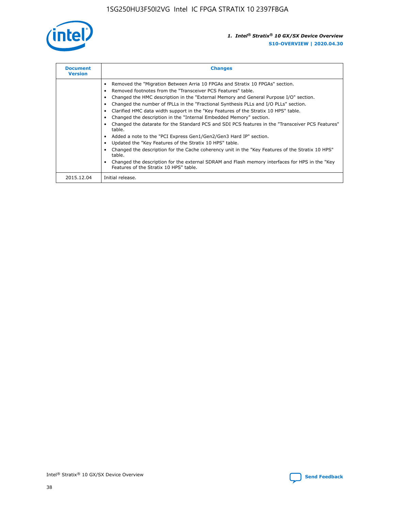

| <b>Document</b><br><b>Version</b> | <b>Changes</b>                                                                                                                                                                                                                                                                                                                                                                                                                                                                                                                                                                                                                                                                                                                                                                                                                                                                                                                                                                                     |
|-----------------------------------|----------------------------------------------------------------------------------------------------------------------------------------------------------------------------------------------------------------------------------------------------------------------------------------------------------------------------------------------------------------------------------------------------------------------------------------------------------------------------------------------------------------------------------------------------------------------------------------------------------------------------------------------------------------------------------------------------------------------------------------------------------------------------------------------------------------------------------------------------------------------------------------------------------------------------------------------------------------------------------------------------|
|                                   | Removed the "Migration Between Arria 10 FPGAs and Stratix 10 FPGAs" section.<br>Removed footnotes from the "Transceiver PCS Features" table.<br>Changed the HMC description in the "External Memory and General Purpose I/O" section.<br>Changed the number of fPLLs in the "Fractional Synthesis PLLs and I/O PLLs" section.<br>Clarified HMC data width support in the "Key Features of the Stratix 10 HPS" table.<br>Changed the description in the "Internal Embedded Memory" section.<br>Changed the datarate for the Standard PCS and SDI PCS features in the "Transceiver PCS Features"<br>table.<br>Added a note to the "PCI Express Gen1/Gen2/Gen3 Hard IP" section.<br>Updated the "Key Features of the Stratix 10 HPS" table.<br>Changed the description for the Cache coherency unit in the "Key Features of the Stratix 10 HPS"<br>table.<br>Changed the description for the external SDRAM and Flash memory interfaces for HPS in the "Key<br>Features of the Stratix 10 HPS" table. |
| 2015.12.04                        | Initial release.                                                                                                                                                                                                                                                                                                                                                                                                                                                                                                                                                                                                                                                                                                                                                                                                                                                                                                                                                                                   |